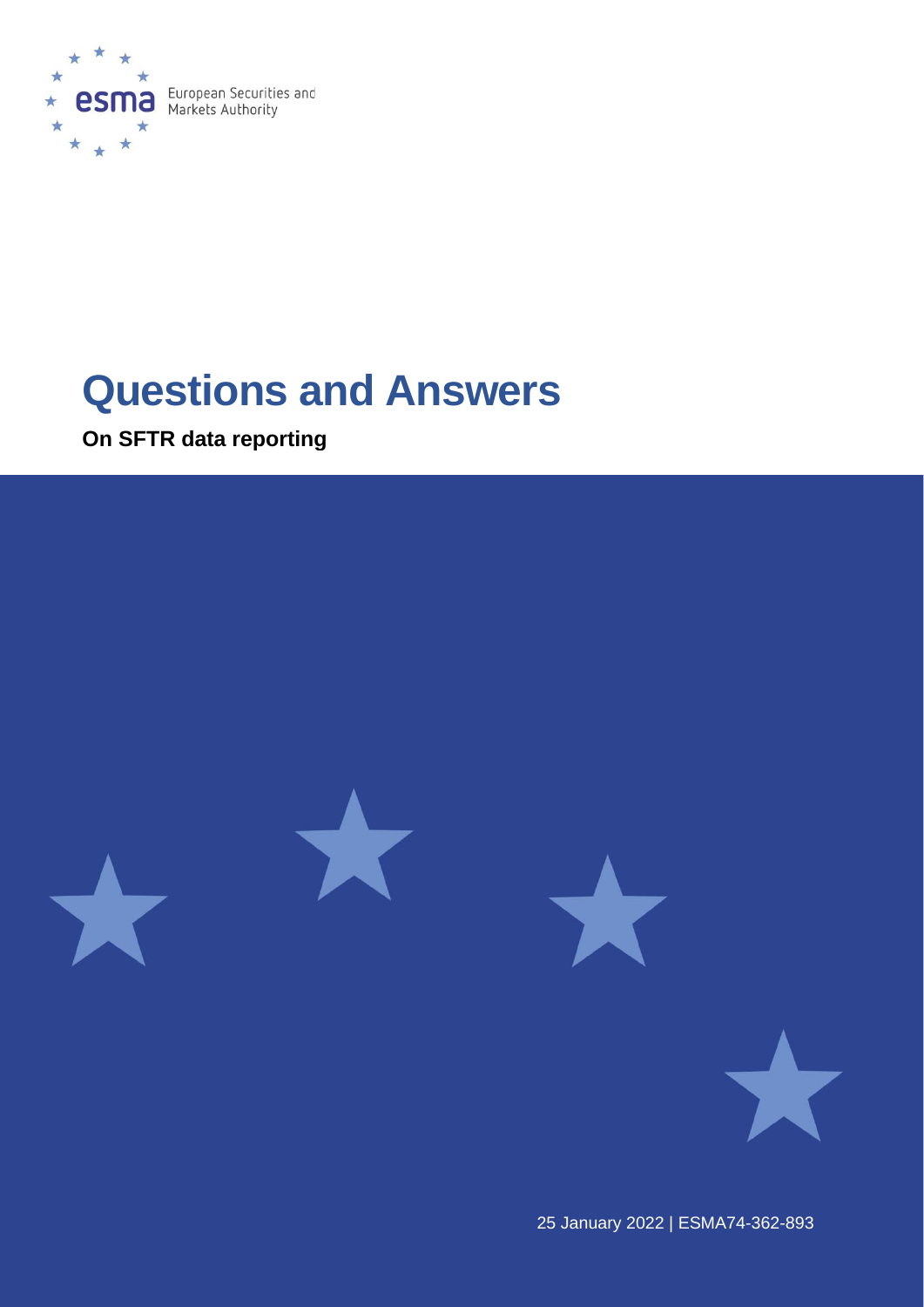

# **Questions and Answers**

**On SFTR data reporting**



25 January 2022 | ESMA74-362-893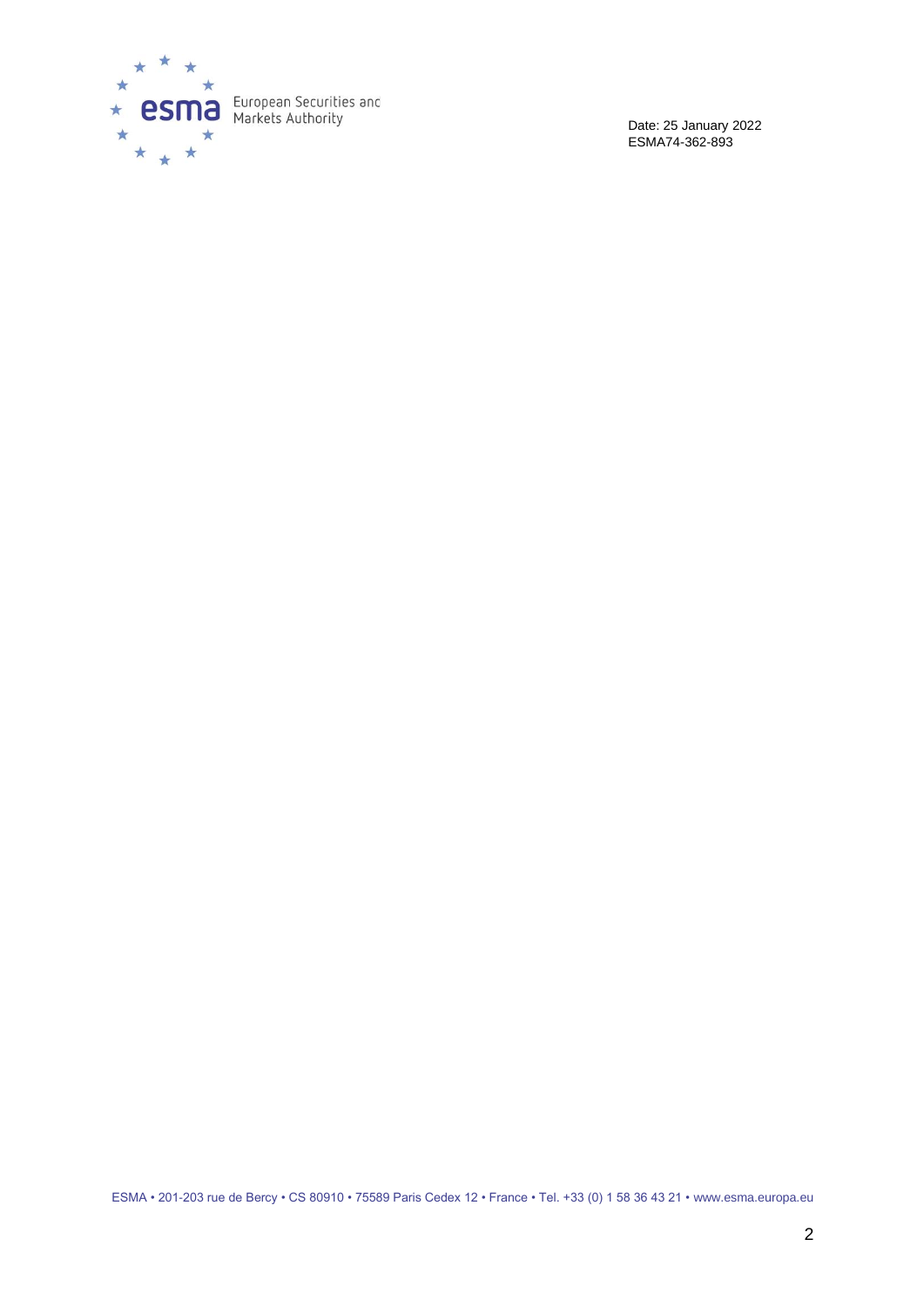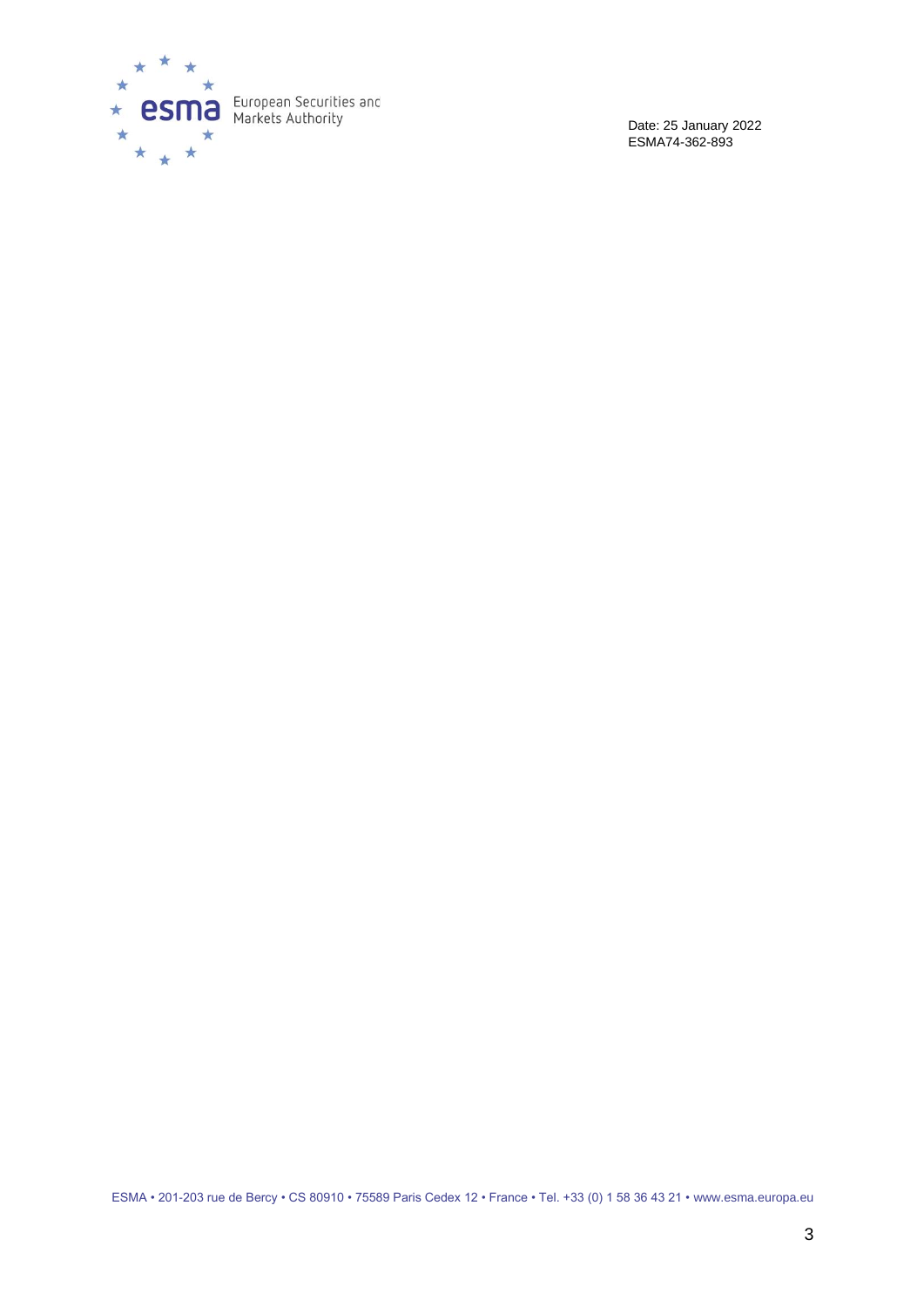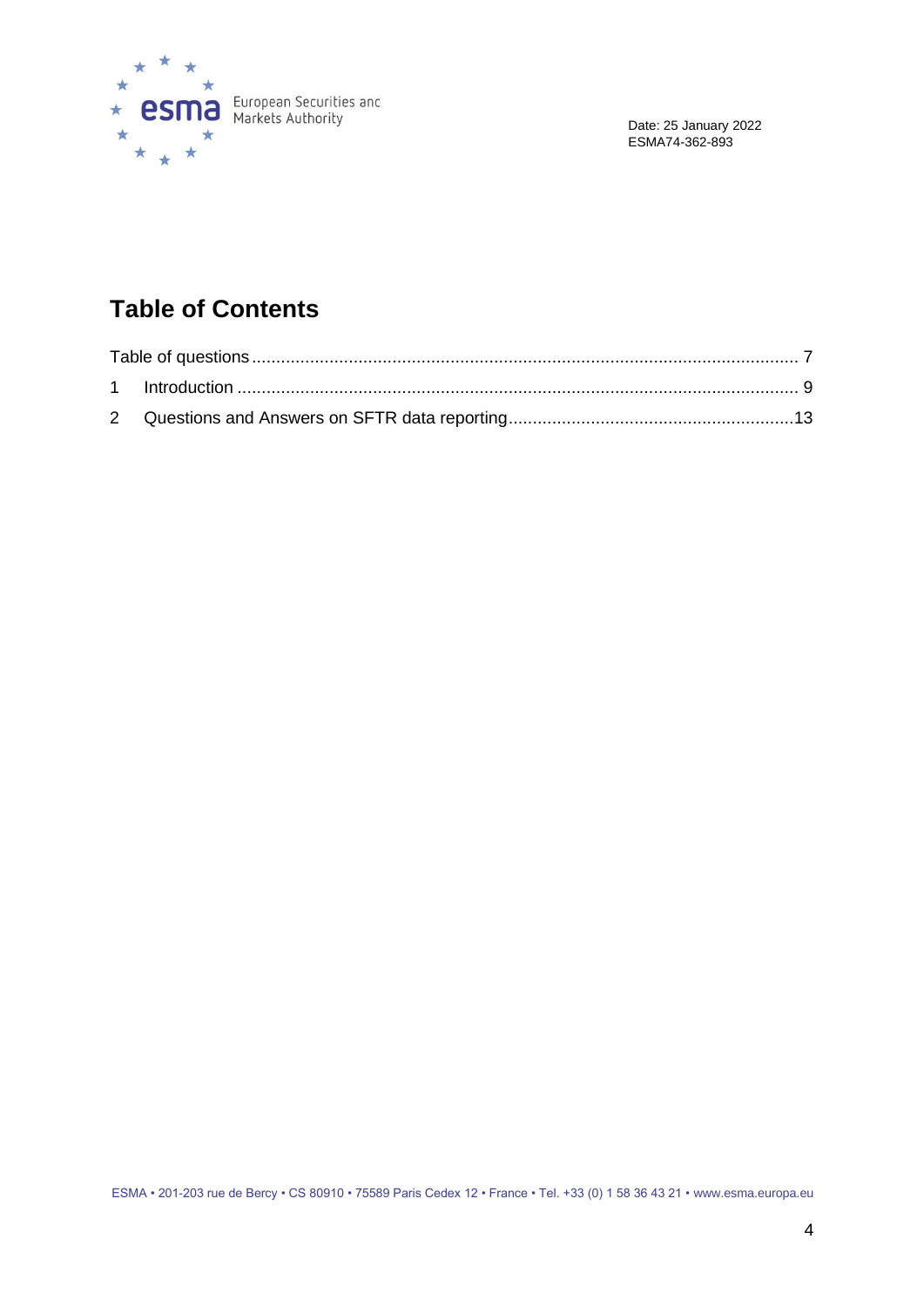

# **Table of Contents**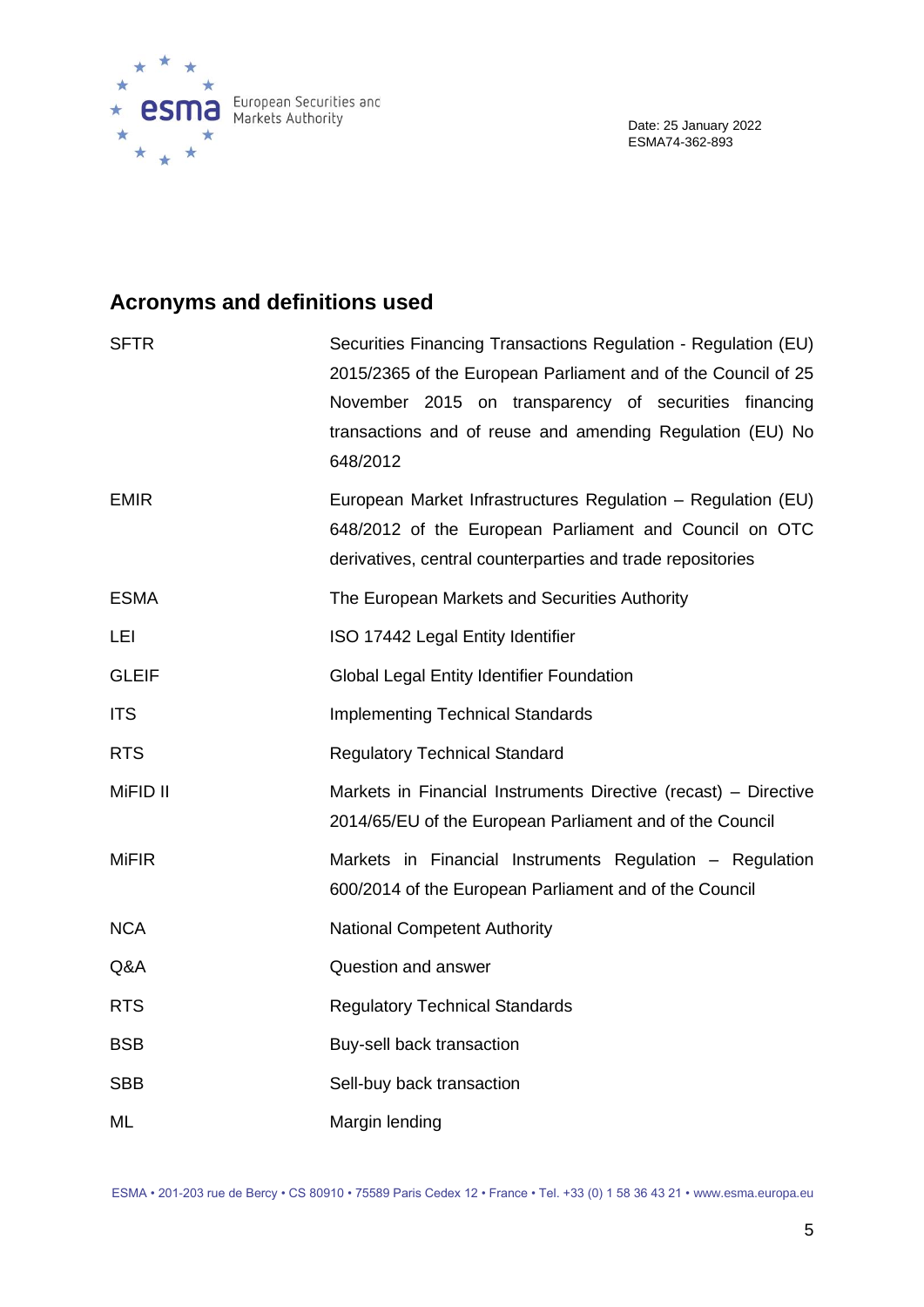

# **Acronyms and definitions used**

| <b>SFTR</b>  | Securities Financing Transactions Regulation - Regulation (EU)<br>2015/2365 of the European Parliament and of the Council of 25<br>November 2015 on transparency of securities financing<br>transactions and of reuse and amending Regulation (EU) No<br>648/2012 |
|--------------|-------------------------------------------------------------------------------------------------------------------------------------------------------------------------------------------------------------------------------------------------------------------|
| <b>EMIR</b>  | European Market Infrastructures Regulation - Regulation (EU)<br>648/2012 of the European Parliament and Council on OTC<br>derivatives, central counterparties and trade repositories                                                                              |
| <b>ESMA</b>  | The European Markets and Securities Authority                                                                                                                                                                                                                     |
| LEI          | ISO 17442 Legal Entity Identifier                                                                                                                                                                                                                                 |
| <b>GLEIF</b> | <b>Global Legal Entity Identifier Foundation</b>                                                                                                                                                                                                                  |
| <b>ITS</b>   | <b>Implementing Technical Standards</b>                                                                                                                                                                                                                           |
| <b>RTS</b>   | <b>Regulatory Technical Standard</b>                                                                                                                                                                                                                              |
| MiFID II     | Markets in Financial Instruments Directive (recast) – Directive<br>2014/65/EU of the European Parliament and of the Council                                                                                                                                       |
| <b>MiFIR</b> | Markets in Financial Instruments Regulation - Regulation<br>600/2014 of the European Parliament and of the Council                                                                                                                                                |
| <b>NCA</b>   | <b>National Competent Authority</b>                                                                                                                                                                                                                               |
| Q&A          | Question and answer                                                                                                                                                                                                                                               |
| <b>RTS</b>   | <b>Regulatory Technical Standards</b>                                                                                                                                                                                                                             |
| <b>BSB</b>   | Buy-sell back transaction                                                                                                                                                                                                                                         |
| <b>SBB</b>   | Sell-buy back transaction                                                                                                                                                                                                                                         |
| ML           | Margin lending                                                                                                                                                                                                                                                    |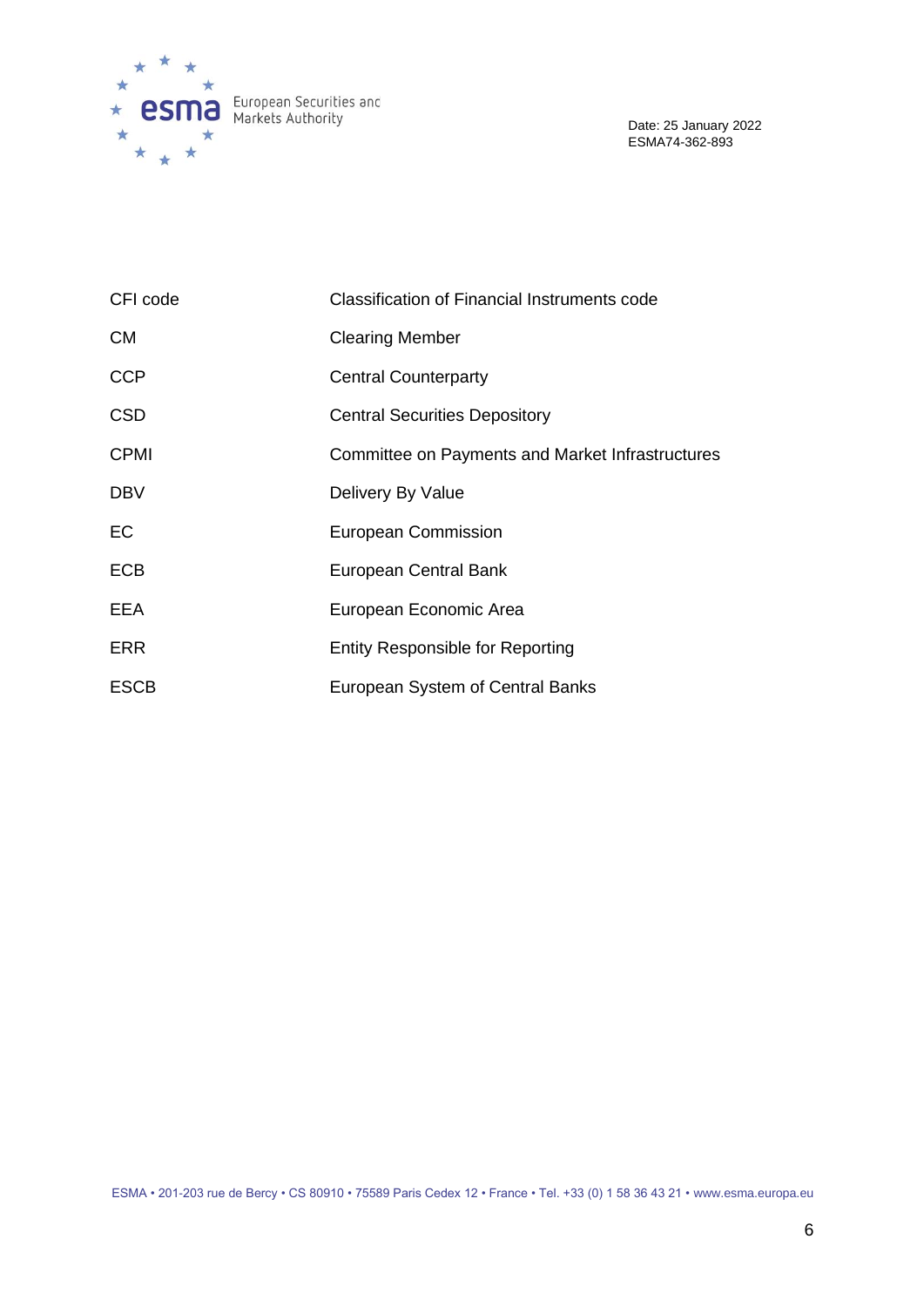

| CFI code    | <b>Classification of Financial Instruments code</b> |
|-------------|-----------------------------------------------------|
| <b>CM</b>   | <b>Clearing Member</b>                              |
| <b>CCP</b>  | <b>Central Counterparty</b>                         |
| <b>CSD</b>  | <b>Central Securities Depository</b>                |
| <b>CPMI</b> | Committee on Payments and Market Infrastructures    |
| <b>DBV</b>  | Delivery By Value                                   |
| EC          | <b>European Commission</b>                          |
| <b>ECB</b>  | European Central Bank                               |
| <b>EEA</b>  | European Economic Area                              |
| <b>ERR</b>  | <b>Entity Responsible for Reporting</b>             |
| <b>ESCB</b> | European System of Central Banks                    |

ESMA • 201-203 rue de Bercy • CS 80910 • 75589 Paris Cedex 12 • France • Tel. +33 (0) 1 58 36 43 21 • www.esma.europa.eu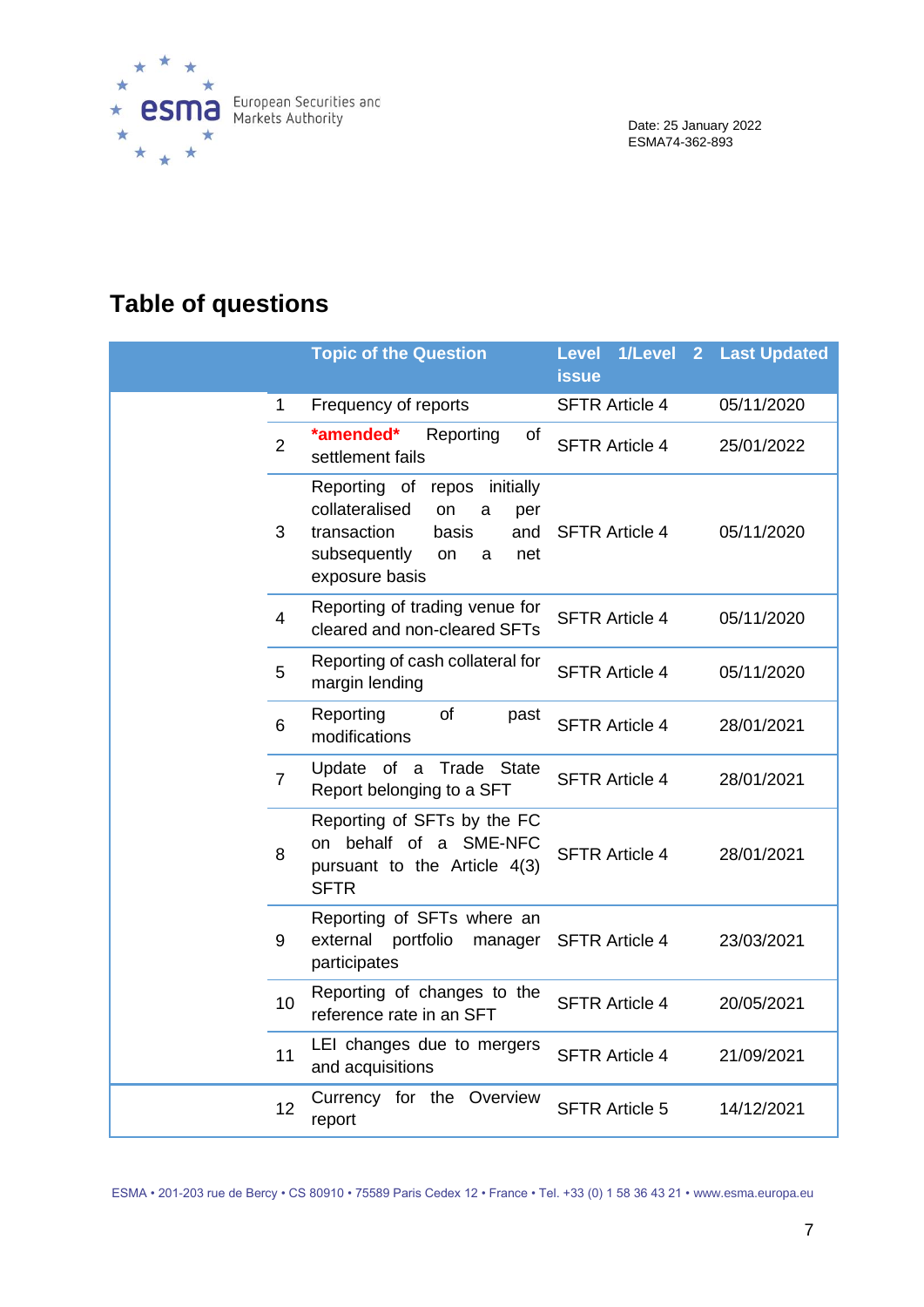

# <span id="page-6-0"></span>**Table of questions**

|                | <b>Topic of the Question</b>                                                                                                                           | 1/Level<br><b>Level</b><br>$\overline{2}$<br><b>issue</b> | <b>Last Updated</b> |
|----------------|--------------------------------------------------------------------------------------------------------------------------------------------------------|-----------------------------------------------------------|---------------------|
| 1              | Frequency of reports                                                                                                                                   | <b>SFTR Article 4</b>                                     | 05/11/2020          |
| $\overline{2}$ | *amended*<br>Reporting<br>of<br>settlement fails                                                                                                       | <b>SFTR Article 4</b>                                     | 25/01/2022          |
| 3              | Reporting of repos<br>initially<br>collateralised<br>on<br>a<br>per<br>transaction<br>basis<br>and<br>subsequently<br>on<br>net<br>a<br>exposure basis | <b>SFTR Article 4</b>                                     | 05/11/2020          |
| $\overline{4}$ | Reporting of trading venue for<br>cleared and non-cleared SFTs                                                                                         | <b>SFTR Article 4</b>                                     | 05/11/2020          |
| 5              | Reporting of cash collateral for<br>margin lending                                                                                                     | <b>SFTR Article 4</b>                                     | 05/11/2020          |
| 6              | Reporting<br>of<br>past<br>modifications                                                                                                               | <b>SFTR Article 4</b>                                     | 28/01/2021          |
| $\overline{7}$ | Update of a<br>Trade<br>State<br>Report belonging to a SFT                                                                                             | <b>SFTR Article 4</b>                                     | 28/01/2021          |
| 8              | Reporting of SFTs by the FC<br>on behalf of a SME-NFC<br>pursuant to the Article 4(3)<br><b>SFTR</b>                                                   | <b>SFTR Article 4</b>                                     | 28/01/2021          |
| 9              | Reporting of SFTs where an<br>external<br>portfolio<br>manager<br>participates                                                                         | <b>SFTR Article 4</b>                                     | 23/03/2021          |
| 10             | Reporting of changes to the<br>reference rate in an SFT                                                                                                | <b>SFTR Article 4</b>                                     | 20/05/2021          |
| 11             | LEI changes due to mergers<br>and acquisitions                                                                                                         | <b>SFTR Article 4</b>                                     | 21/09/2021          |
| 12             | Currency for the Overview<br>report                                                                                                                    | <b>SFTR Article 5</b>                                     | 14/12/2021          |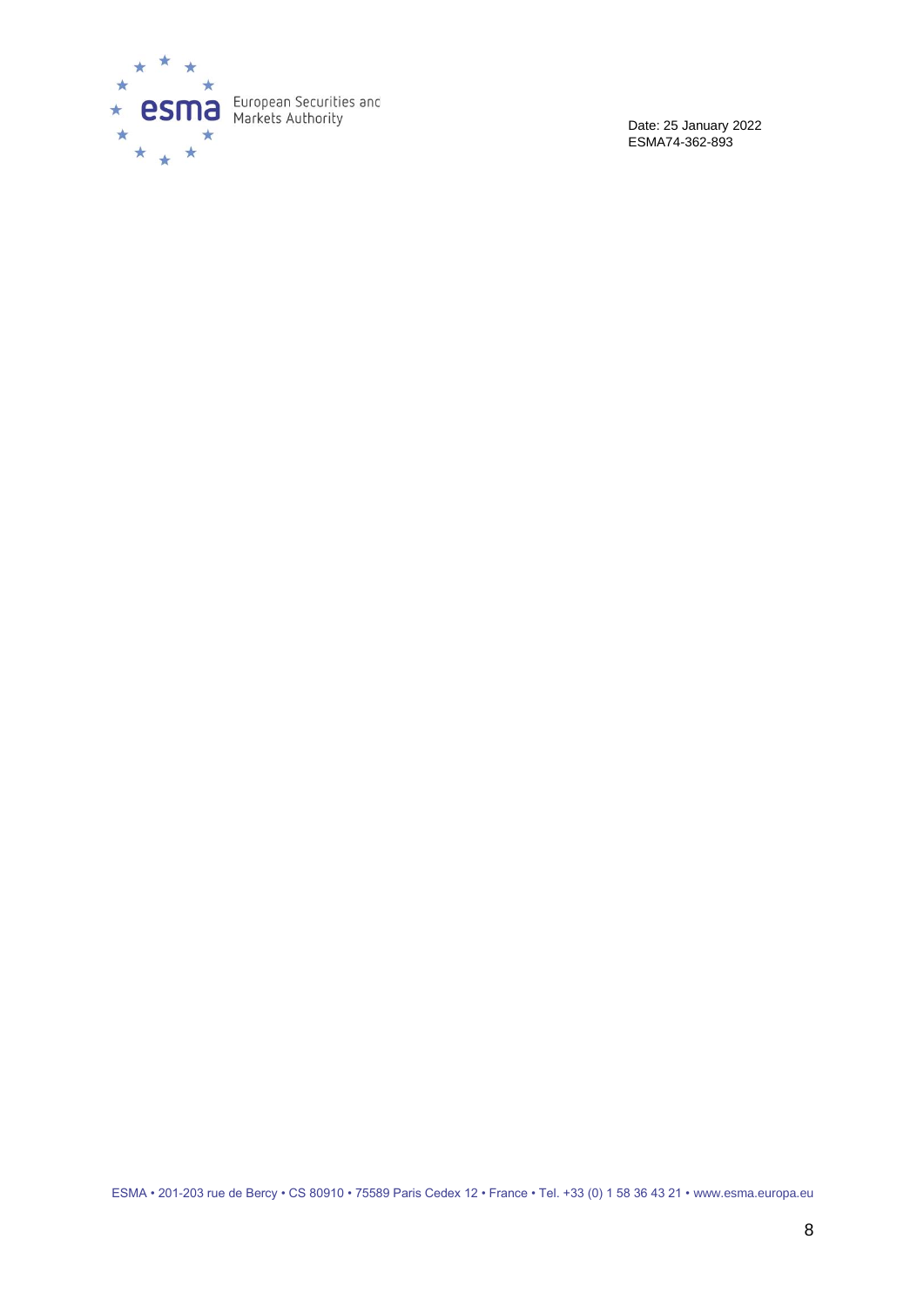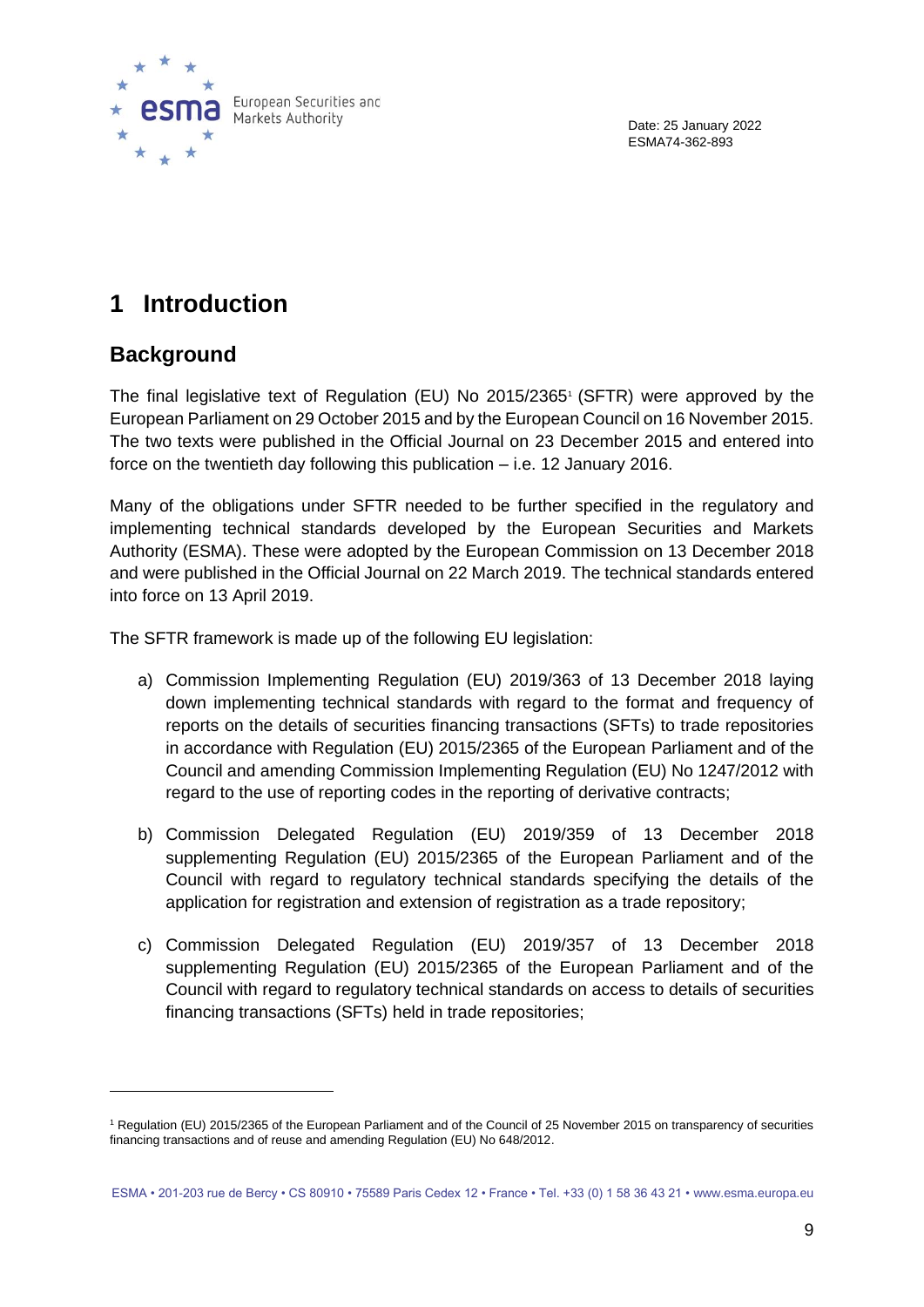

# <span id="page-8-0"></span>**1 Introduction**

### **Background**

The final legislative text of Regulation (EU) No 2015/2365<sup>1</sup> (SFTR) were approved by the European Parliament on 29 October 2015 and by the European Council on 16 November 2015. The two texts were published in the Official Journal on 23 December 2015 and entered into force on the twentieth day following this publication – i.e. 12 January 2016.

Many of the obligations under SFTR needed to be further specified in the regulatory and implementing technical standards developed by the European Securities and Markets Authority (ESMA). These were adopted by the European Commission on 13 December 2018 and were published in the Official Journal on 22 March 2019. The technical standards entered into force on 13 April 2019.

The SFTR framework is made up of the following EU legislation:

- a) Commission Implementing Regulation (EU) 2019/363 of 13 December 2018 laying down implementing technical standards with regard to the format and frequency of reports on the details of securities financing transactions (SFTs) to trade repositories in accordance with Regulation (EU) 2015/2365 of the European Parliament and of the Council and amending Commission Implementing Regulation (EU) No 1247/2012 with regard to the use of reporting codes in the reporting of derivative contracts;
- b) Commission Delegated Regulation (EU) 2019/359 of 13 December 2018 supplementing Regulation (EU) 2015/2365 of the European Parliament and of the Council with regard to regulatory technical standards specifying the details of the application for registration and extension of registration as a trade repository;
- c) Commission Delegated Regulation (EU) 2019/357 of 13 December 2018 supplementing Regulation (EU) 2015/2365 of the European Parliament and of the Council with regard to regulatory technical standards on access to details of securities financing transactions (SFTs) held in trade repositories;

<sup>1</sup> Regulation (EU) 2015/2365 of the European Parliament and of the Council of 25 November 2015 on transparency of securities financing transactions and of reuse and amending Regulation (EU) No 648/2012.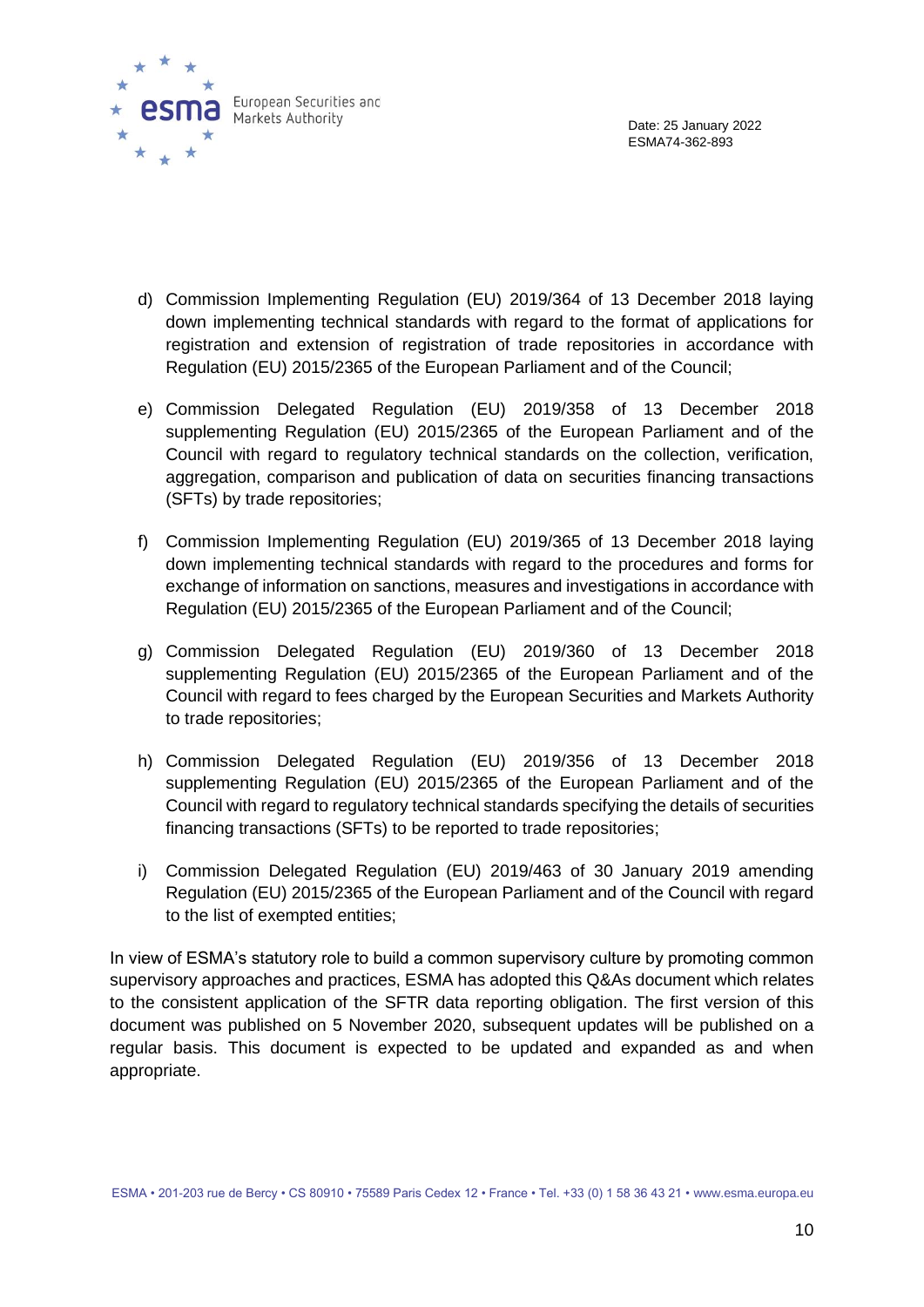

- d) Commission Implementing Regulation (EU) 2019/364 of 13 December 2018 laying down implementing technical standards with regard to the format of applications for registration and extension of registration of trade repositories in accordance with Regulation (EU) 2015/2365 of the European Parliament and of the Council;
- e) Commission Delegated Regulation (EU) 2019/358 of 13 December 2018 supplementing Regulation (EU) 2015/2365 of the European Parliament and of the Council with regard to regulatory technical standards on the collection, verification, aggregation, comparison and publication of data on securities financing transactions (SFTs) by trade repositories;
- f) Commission Implementing Regulation (EU) 2019/365 of 13 December 2018 laying down implementing technical standards with regard to the procedures and forms for exchange of information on sanctions, measures and investigations in accordance with Regulation (EU) 2015/2365 of the European Parliament and of the Council;
- g) Commission Delegated Regulation (EU) 2019/360 of 13 December 2018 supplementing Regulation (EU) 2015/2365 of the European Parliament and of the Council with regard to fees charged by the European Securities and Markets Authority to trade repositories;
- h) Commission Delegated Regulation (EU) 2019/356 of 13 December 2018 supplementing Regulation (EU) 2015/2365 of the European Parliament and of the Council with regard to regulatory technical standards specifying the details of securities financing transactions (SFTs) to be reported to trade repositories;
- i) Commission Delegated Regulation (EU) 2019/463 of 30 January 2019 amending Regulation (EU) 2015/2365 of the European Parliament and of the Council with regard to the list of exempted entities;

In view of ESMA's statutory role to build a common supervisory culture by promoting common supervisory approaches and practices, ESMA has adopted this Q&As document which relates to the consistent application of the SFTR data reporting obligation. The first version of this document was published on 5 November 2020, subsequent updates will be published on a regular basis. This document is expected to be updated and expanded as and when appropriate.

ESMA • 201-203 rue de Bercy • CS 80910 • 75589 Paris Cedex 12 • France • Tel. +33 (0) 1 58 36 43 21 • www.esma.europa.eu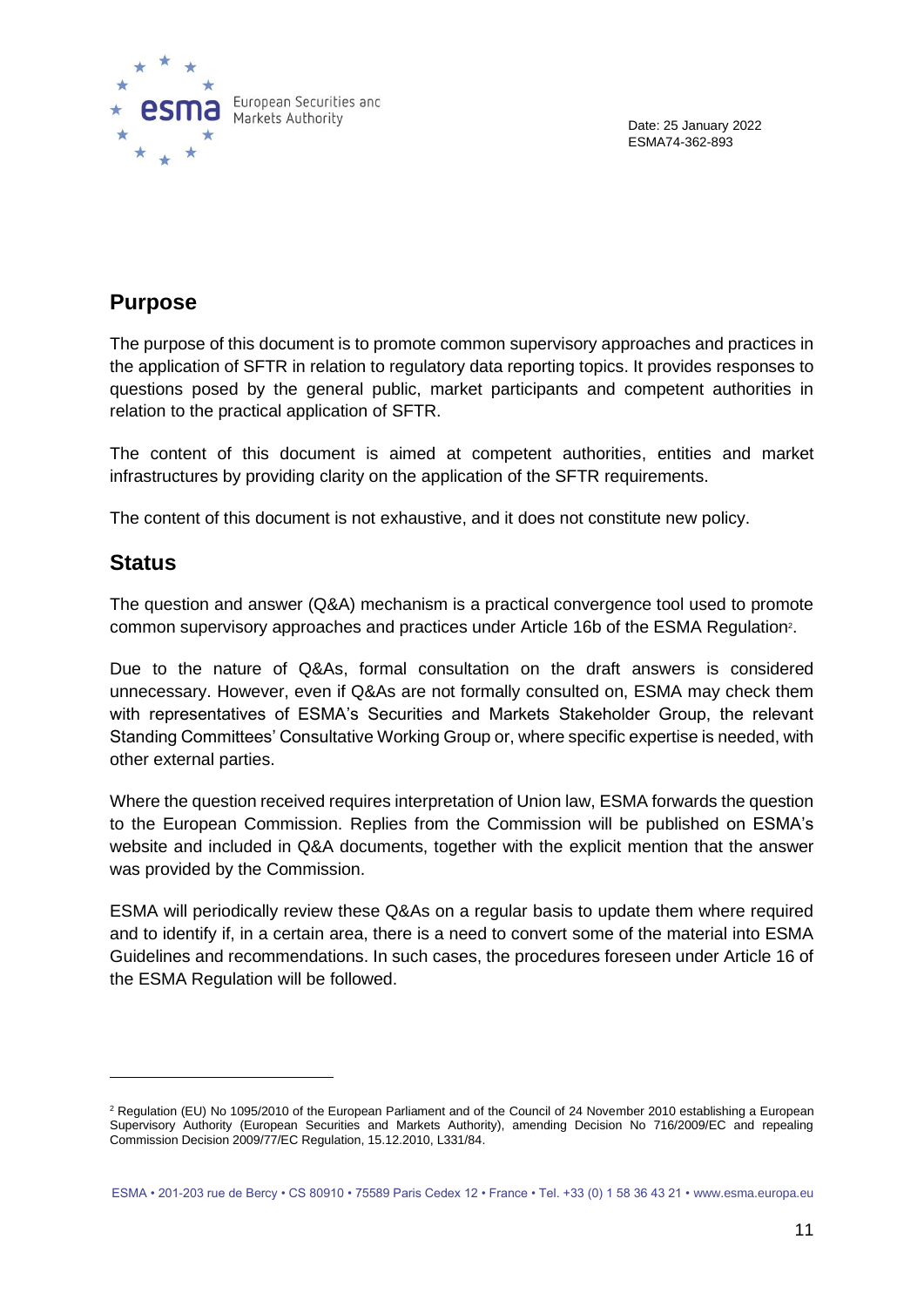

### **Purpose**

The purpose of this document is to promote common supervisory approaches and practices in the application of SFTR in relation to regulatory data reporting topics. It provides responses to questions posed by the general public, market participants and competent authorities in relation to the practical application of SFTR.

The content of this document is aimed at competent authorities, entities and market infrastructures by providing clarity on the application of the SFTR requirements.

The content of this document is not exhaustive, and it does not constitute new policy.

### **Status**

The question and answer (Q&A) mechanism is a practical convergence tool used to promote common supervisory approaches and practices under Article 16b of the ESMA Regulation<sup>2</sup>.

Due to the nature of Q&As, formal consultation on the draft answers is considered unnecessary. However, even if Q&As are not formally consulted on, ESMA may check them with representatives of ESMA's Securities and Markets Stakeholder Group, the relevant Standing Committees' Consultative Working Group or, where specific expertise is needed, with other external parties.

Where the question received requires interpretation of Union law, ESMA forwards the question to the European Commission. Replies from the Commission will be published on ESMA's website and included in Q&A documents, together with the explicit mention that the answer was provided by the Commission.

ESMA will periodically review these Q&As on a regular basis to update them where required and to identify if, in a certain area, there is a need to convert some of the material into ESMA Guidelines and recommendations. In such cases, the procedures foreseen under Article 16 of the ESMA Regulation will be followed.

<sup>&</sup>lt;sup>2</sup> Regulation (EU) No 1095/2010 of the European Parliament and of the Council of 24 November 2010 establishing a European Supervisory Authority (European Securities and Markets Authority), amending Decision No 716/2009/EC and repealing Commission Decision 2009/77/EC Regulation, 15.12.2010, L331/84.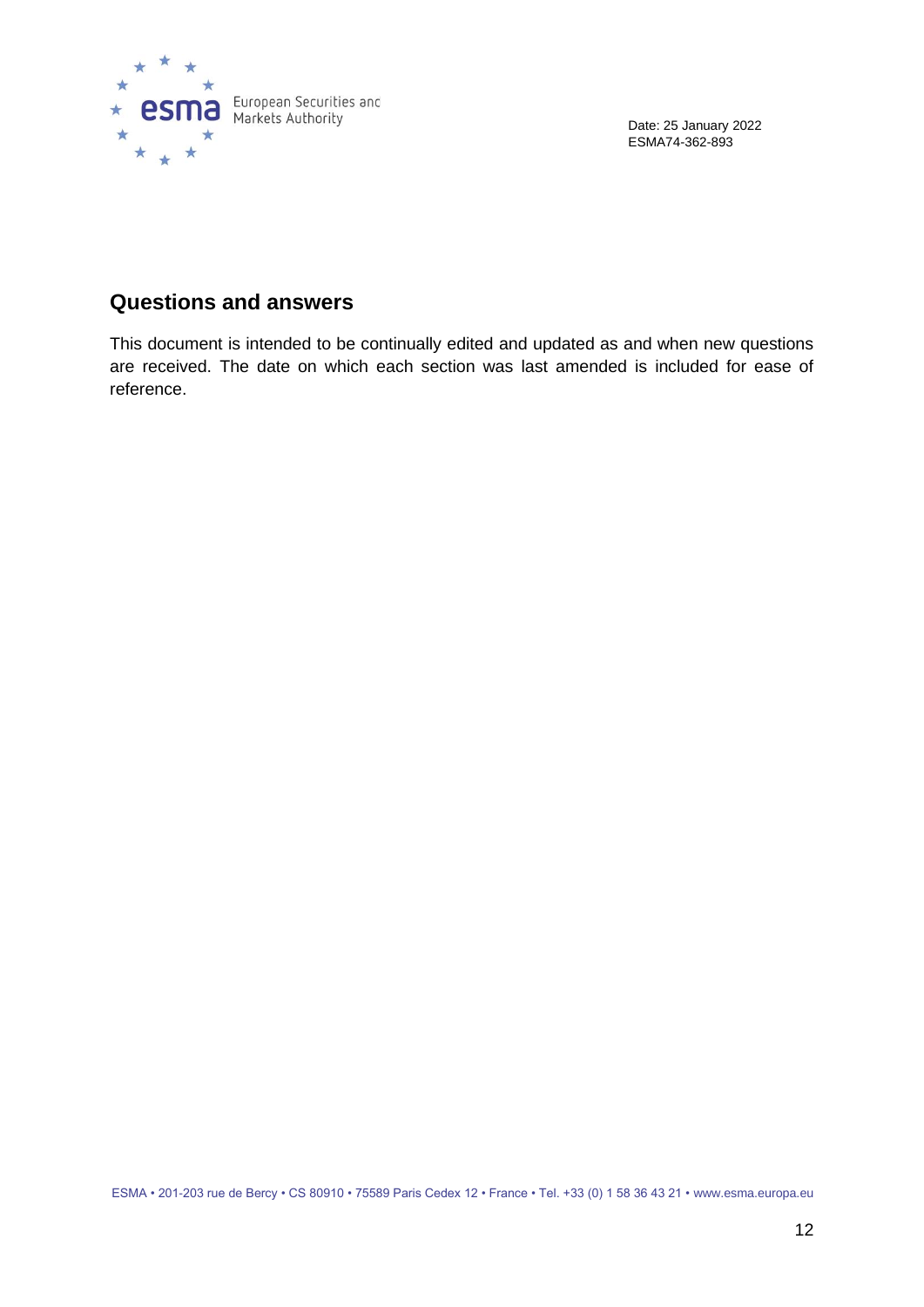

### **Questions and answers**

This document is intended to be continually edited and updated as and when new questions are received. The date on which each section was last amended is included for ease of reference.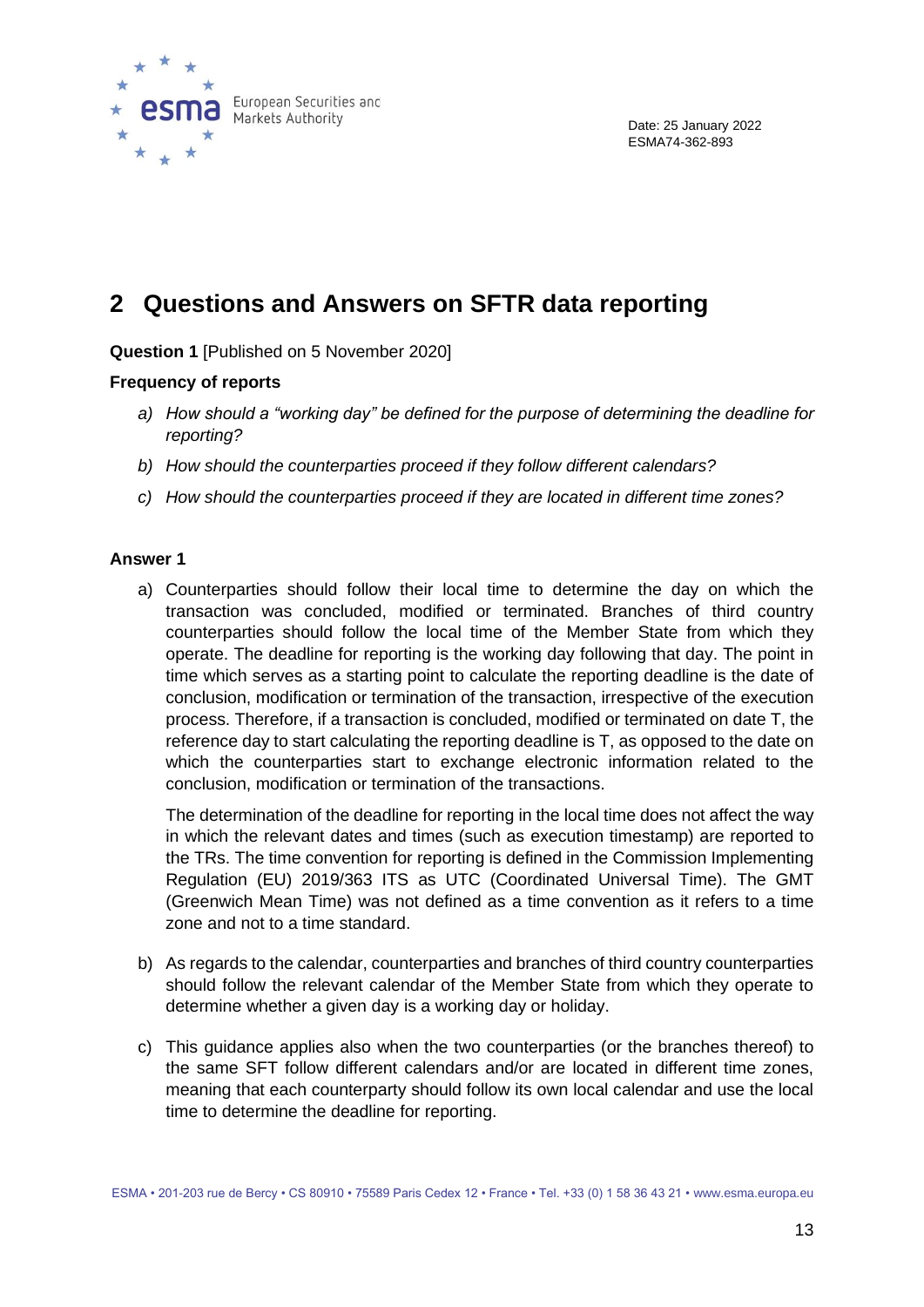

## <span id="page-12-0"></span>**2 Questions and Answers on SFTR data reporting**

**Question 1** [Published on 5 November 2020]

#### **Frequency of reports**

- *a) How should a "working day" be defined for the purpose of determining the deadline for reporting?*
- *b) How should the counterparties proceed if they follow different calendars?*
- *c) How should the counterparties proceed if they are located in different time zones?*

#### **Answer 1**

a) Counterparties should follow their local time to determine the day on which the transaction was concluded, modified or terminated. Branches of third country counterparties should follow the local time of the Member State from which they operate. The deadline for reporting is the working day following that day. The point in time which serves as a starting point to calculate the reporting deadline is the date of conclusion, modification or termination of the transaction, irrespective of the execution process. Therefore, if a transaction is concluded, modified or terminated on date T, the reference day to start calculating the reporting deadline is T, as opposed to the date on which the counterparties start to exchange electronic information related to the conclusion, modification or termination of the transactions.

The determination of the deadline for reporting in the local time does not affect the way in which the relevant dates and times (such as execution timestamp) are reported to the TRs. The time convention for reporting is defined in the Commission Implementing Regulation (EU) 2019/363 ITS as UTC (Coordinated Universal Time). The GMT (Greenwich Mean Time) was not defined as a time convention as it refers to a time zone and not to a time standard.

- b) As regards to the calendar, counterparties and branches of third country counterparties should follow the relevant calendar of the Member State from which they operate to determine whether a given day is a working day or holiday.
- c) This guidance applies also when the two counterparties (or the branches thereof) to the same SFT follow different calendars and/or are located in different time zones, meaning that each counterparty should follow its own local calendar and use the local time to determine the deadline for reporting.

ESMA • 201-203 rue de Bercy • CS 80910 • 75589 Paris Cedex 12 • France • Tel. +33 (0) 1 58 36 43 21 • www.esma.europa.eu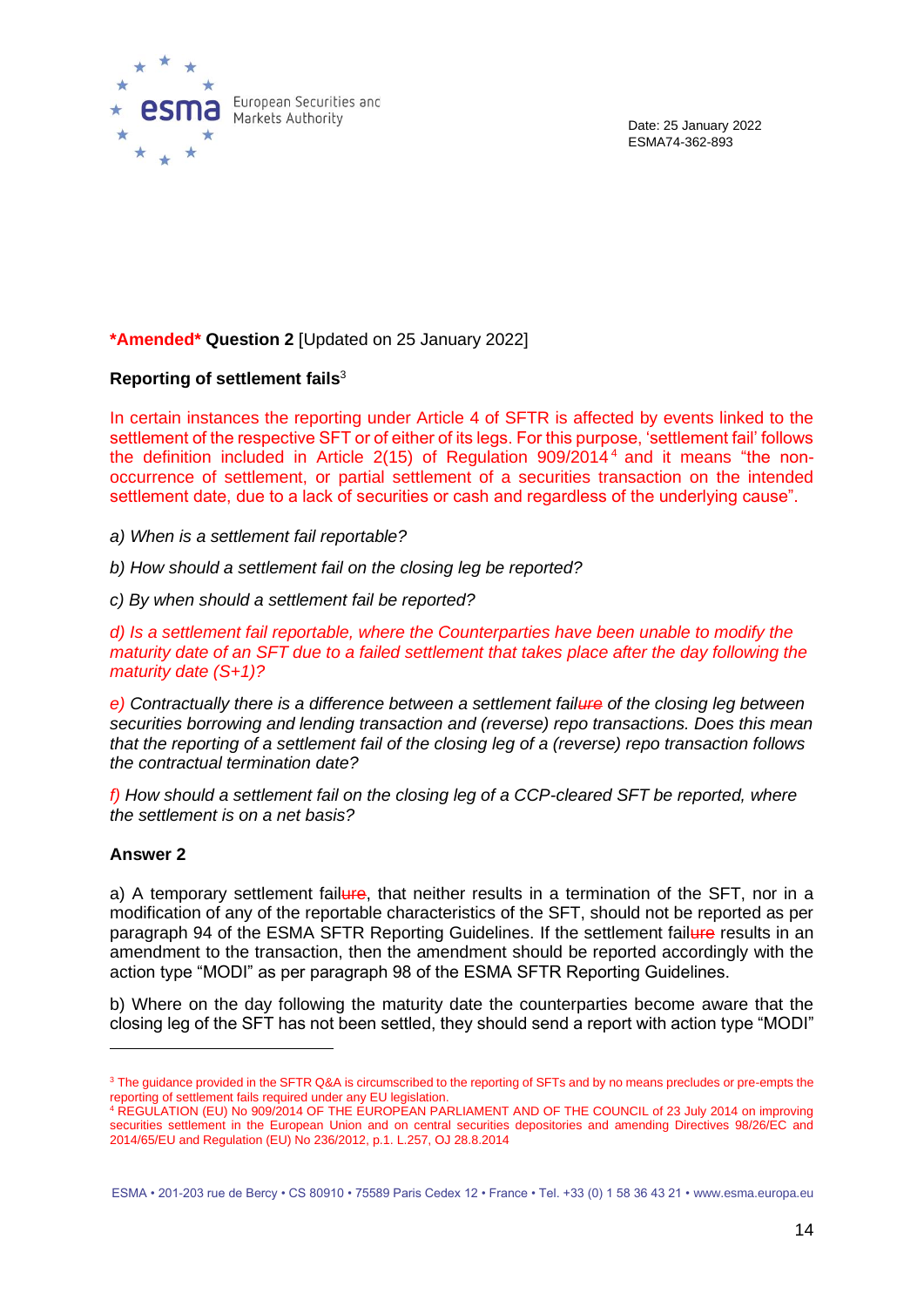

#### **\*Amended\* Question 2** [Updated on 25 January 2022]

#### **Reporting of settlement fails**<sup>3</sup>

In certain instances the reporting under Article 4 of SFTR is affected by events linked to the settlement of the respective SFT or of either of its legs. For this purpose, 'settlement fail' follows the definition included in Article  $2(15)$  of Regulation  $909/2014<sup>4</sup>$  and it means "the nonoccurrence of settlement, or partial settlement of a securities transaction on the intended settlement date, due to a lack of securities or cash and regardless of the underlying cause".

*a) When is a settlement fail reportable?* 

*b) How should a settlement fail on the closing leg be reported?* 

*c) By when should a settlement fail be reported?* 

*d) Is a settlement fail reportable, where the Counterparties have been unable to modify the maturity date of an SFT due to a failed settlement that takes place after the day following the maturity date (S+1)?*

*e) Contractually there is a difference between a settlement failure of the closing leg between securities borrowing and lending transaction and (reverse) repo transactions. Does this mean that the reporting of a settlement fail of the closing leg of a (reverse) repo transaction follows the contractual termination date?* 

*f) How should a settlement fail on the closing leg of a CCP-cleared SFT be reported, where the settlement is on a net basis?* 

#### **Answer 2**

a) A temporary settlement failure, that neither results in a termination of the SFT, nor in a modification of any of the reportable characteristics of the SFT, should not be reported as per paragraph 94 of the ESMA SFTR Reporting Guidelines. If the settlement failure results in an amendment to the transaction, then the amendment should be reported accordingly with the action type "MODI" as per paragraph 98 of the ESMA SFTR Reporting Guidelines.

b) Where on the day following the maturity date the counterparties become aware that the closing leg of the SFT has not been settled, they should send a report with action type "MODI"

ESMA • 201-203 rue de Bercy • CS 80910 • 75589 Paris Cedex 12 • France • Tel. +33 (0) 1 58 36 43 21 • www.esma.europa.eu

<sup>&</sup>lt;sup>3</sup> The guidance provided in the SFTR Q&A is circumscribed to the reporting of SFTs and by no means precludes or pre-empts the reporting of settlement fails required under any EU legislation.

<sup>4</sup> REGULATION (EU) No 909/2014 OF THE EUROPEAN PARLIAMENT AND OF THE COUNCIL of 23 July 2014 on improving securities settlement in the European Union and on central securities depositories and amending Directives 98/26/EC and 2014/65/EU and Regulation (EU) No 236/2012, p.1. L.257, OJ 28.8.2014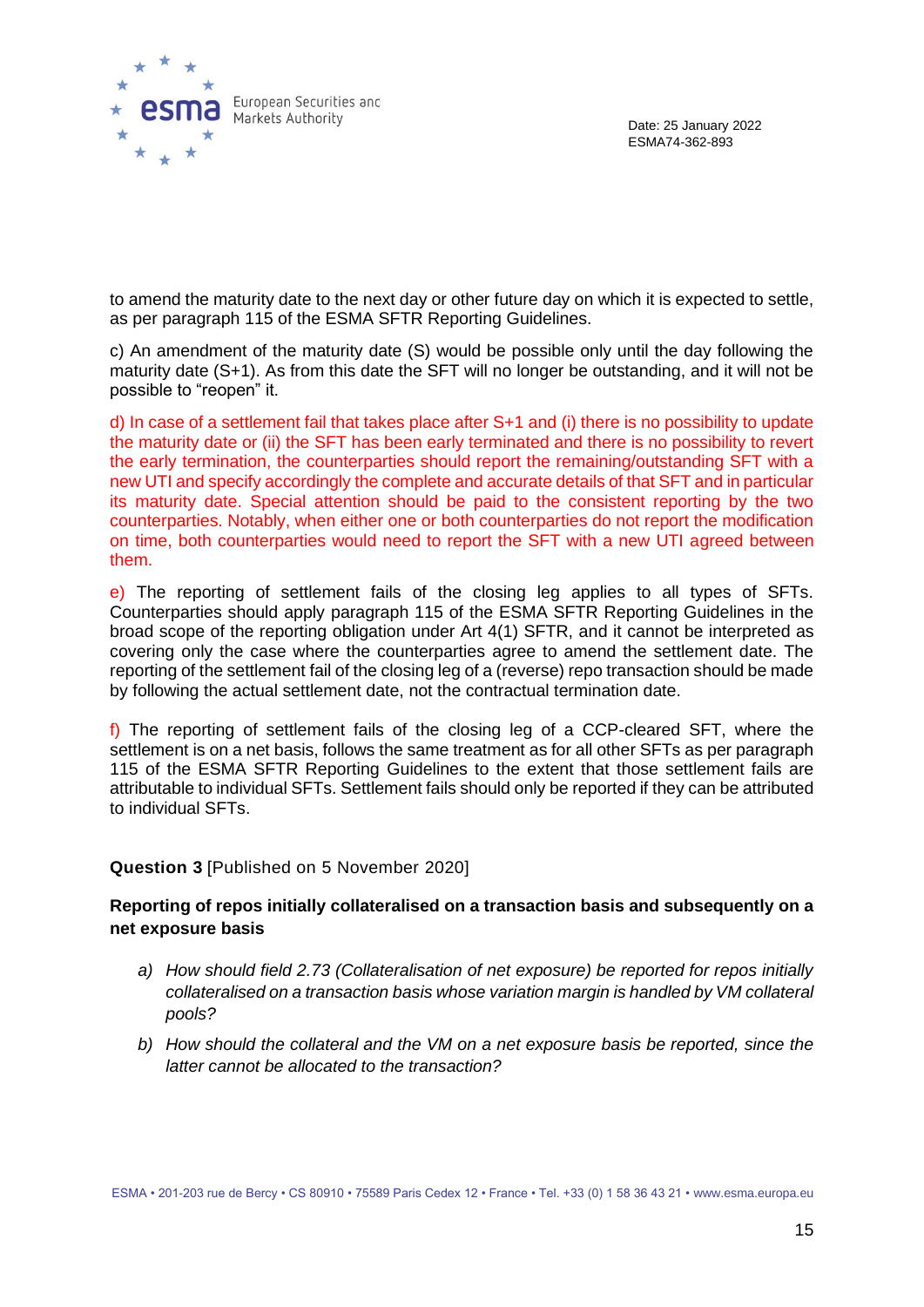

to amend the maturity date to the next day or other future day on which it is expected to settle, as per paragraph 115 of the ESMA SFTR Reporting Guidelines.

c) An amendment of the maturity date (S) would be possible only until the day following the maturity date (S+1). As from this date the SFT will no longer be outstanding, and it will not be possible to "reopen" it.

d) In case of a settlement fail that takes place after S+1 and (i) there is no possibility to update the maturity date or (ii) the SFT has been early terminated and there is no possibility to revert the early termination, the counterparties should report the remaining/outstanding SFT with a new UTI and specify accordingly the complete and accurate details of that SFT and in particular its maturity date. Special attention should be paid to the consistent reporting by the two counterparties. Notably, when either one or both counterparties do not report the modification on time, both counterparties would need to report the SFT with a new UTI agreed between them.

e) The reporting of settlement fails of the closing leg applies to all types of SFTs. Counterparties should apply paragraph 115 of the ESMA SFTR Reporting Guidelines in the broad scope of the reporting obligation under Art 4(1) SFTR, and it cannot be interpreted as covering only the case where the counterparties agree to amend the settlement date. The reporting of the settlement fail of the closing leg of a (reverse) repo transaction should be made by following the actual settlement date, not the contractual termination date.

f) The reporting of settlement fails of the closing leg of a CCP-cleared SFT, where the settlement is on a net basis, follows the same treatment as for all other SFTs as per paragraph 115 of the ESMA SFTR Reporting Guidelines to the extent that those settlement fails are attributable to individual SFTs. Settlement fails should only be reported if they can be attributed to individual SFTs.

#### **Question 3** [Published on 5 November 2020]

#### **Reporting of repos initially collateralised on a transaction basis and subsequently on a net exposure basis**

- *a) How should field 2.73 (Collateralisation of net exposure) be reported for repos initially collateralised on a transaction basis whose variation margin is handled by VM collateral pools?*
- *b) How should the collateral and the VM on a net exposure basis be reported, since the latter cannot be allocated to the transaction?*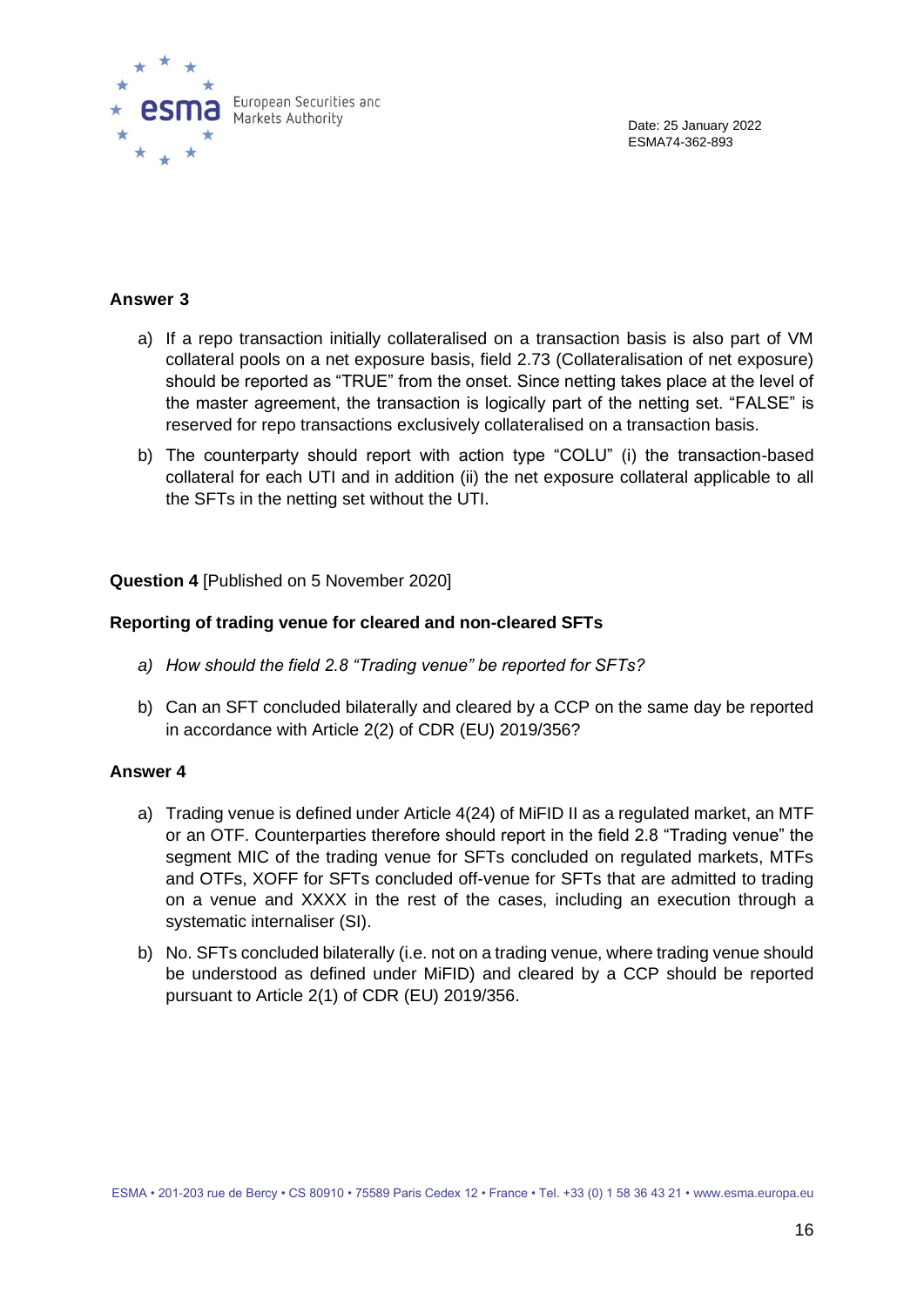

#### **Answer 3**

- a) If a repo transaction initially collateralised on a transaction basis is also part of VM collateral pools on a net exposure basis, field 2.73 (Collateralisation of net exposure) should be reported as "TRUE" from the onset. Since netting takes place at the level of the master agreement, the transaction is logically part of the netting set. "FALSE" is reserved for repo transactions exclusively collateralised on a transaction basis.
- b) The counterparty should report with action type "COLU" (i) the transaction-based collateral for each UTI and in addition (ii) the net exposure collateral applicable to all the SFTs in the netting set without the UTI.

**Question 4** [Published on 5 November 2020]

#### **Reporting of trading venue for cleared and non-cleared SFTs**

- *a) How should the field 2.8 "Trading venue" be reported for SFTs?*
- b) Can an SFT concluded bilaterally and cleared by a CCP on the same day be reported in accordance with Article 2(2) of CDR (EU) 2019/356?

#### **Answer 4**

- a) Trading venue is defined under Article 4(24) of MiFID II as a regulated market, an MTF or an OTF. Counterparties therefore should report in the field 2.8 "Trading venue" the segment MIC of the trading venue for SFTs concluded on regulated markets, MTFs and OTFs, XOFF for SFTs concluded off-venue for SFTs that are admitted to trading on a venue and XXXX in the rest of the cases, including an execution through a systematic internaliser (SI).
- b) No. SFTs concluded bilaterally (i.e. not on a trading venue, where trading venue should be understood as defined under MiFID) and cleared by a CCP should be reported pursuant to Article 2(1) of CDR (EU) 2019/356.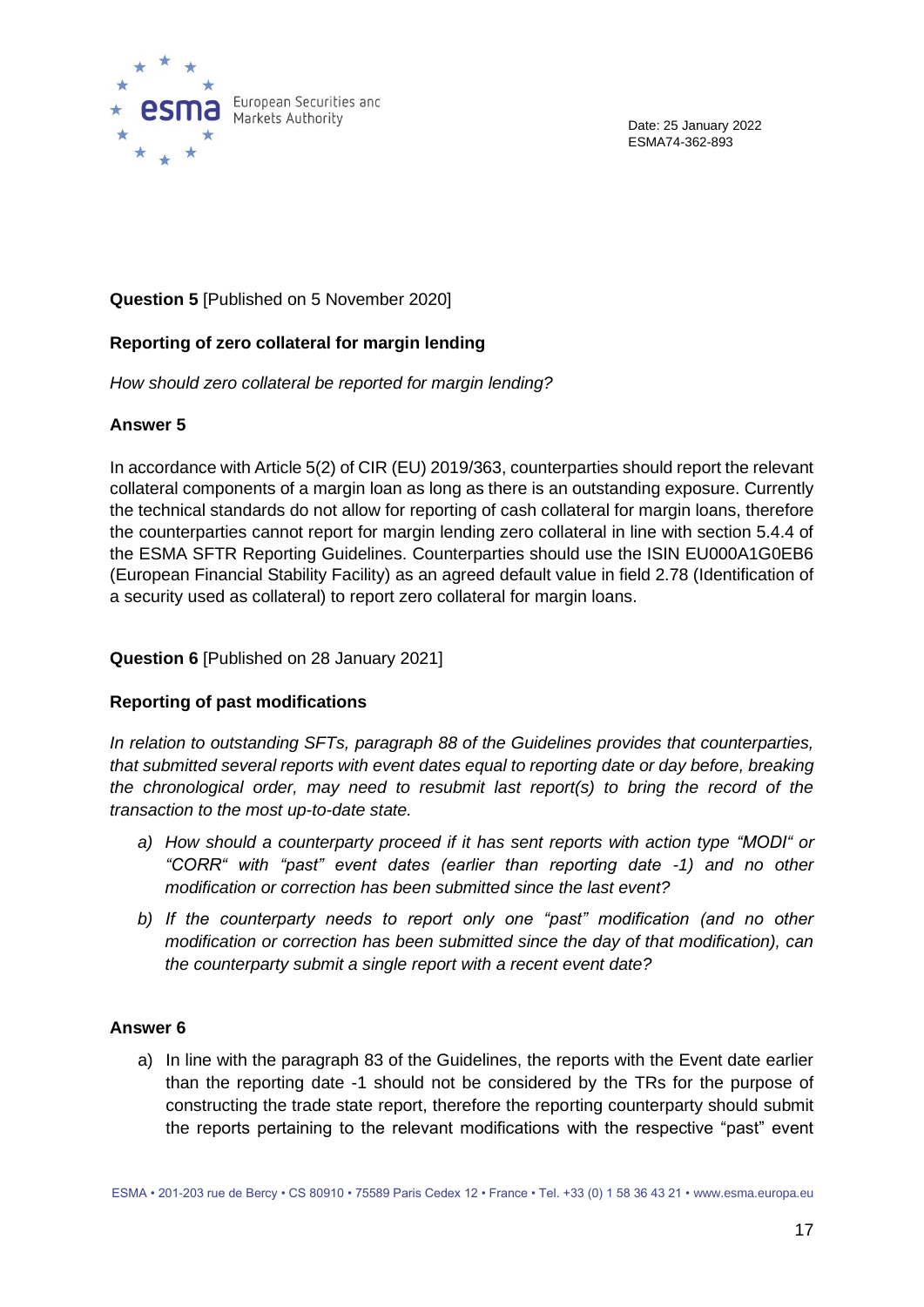

#### **Question 5** [Published on 5 November 2020]

#### **Reporting of zero collateral for margin lending**

*How should zero collateral be reported for margin lending?*

#### **Answer 5**

In accordance with Article 5(2) of CIR (EU) 2019/363, counterparties should report the relevant collateral components of a margin loan as long as there is an outstanding exposure. Currently the technical standards do not allow for reporting of cash collateral for margin loans, therefore the counterparties cannot report for margin lending zero collateral in line with section 5.4.4 of the ESMA SFTR Reporting Guidelines. Counterparties should use the ISIN EU000A1G0EB6 (European Financial Stability Facility) as an agreed default value in field 2.78 (Identification of a security used as collateral) to report zero collateral for margin loans.

#### **Question 6** [Published on 28 January 2021]

#### **Reporting of past modifications**

*In relation to outstanding SFTs, paragraph 88 of the Guidelines provides that counterparties, that submitted several reports with event dates equal to reporting date or day before, breaking the chronological order, may need to resubmit last report(s) to bring the record of the transaction to the most up-to-date state.*

- *a) How should a counterparty proceed if it has sent reports with action type "MODI" or "CORR" with "past" event dates (earlier than reporting date -1) and no other modification or correction has been submitted since the last event?*
- *b) If the counterparty needs to report only one "past" modification (and no other modification or correction has been submitted since the day of that modification), can the counterparty submit a single report with a recent event date?*

#### **Answer 6**

a) In line with the paragraph 83 of the Guidelines, the reports with the Event date earlier than the reporting date -1 should not be considered by the TRs for the purpose of constructing the trade state report, therefore the reporting counterparty should submit the reports pertaining to the relevant modifications with the respective "past" event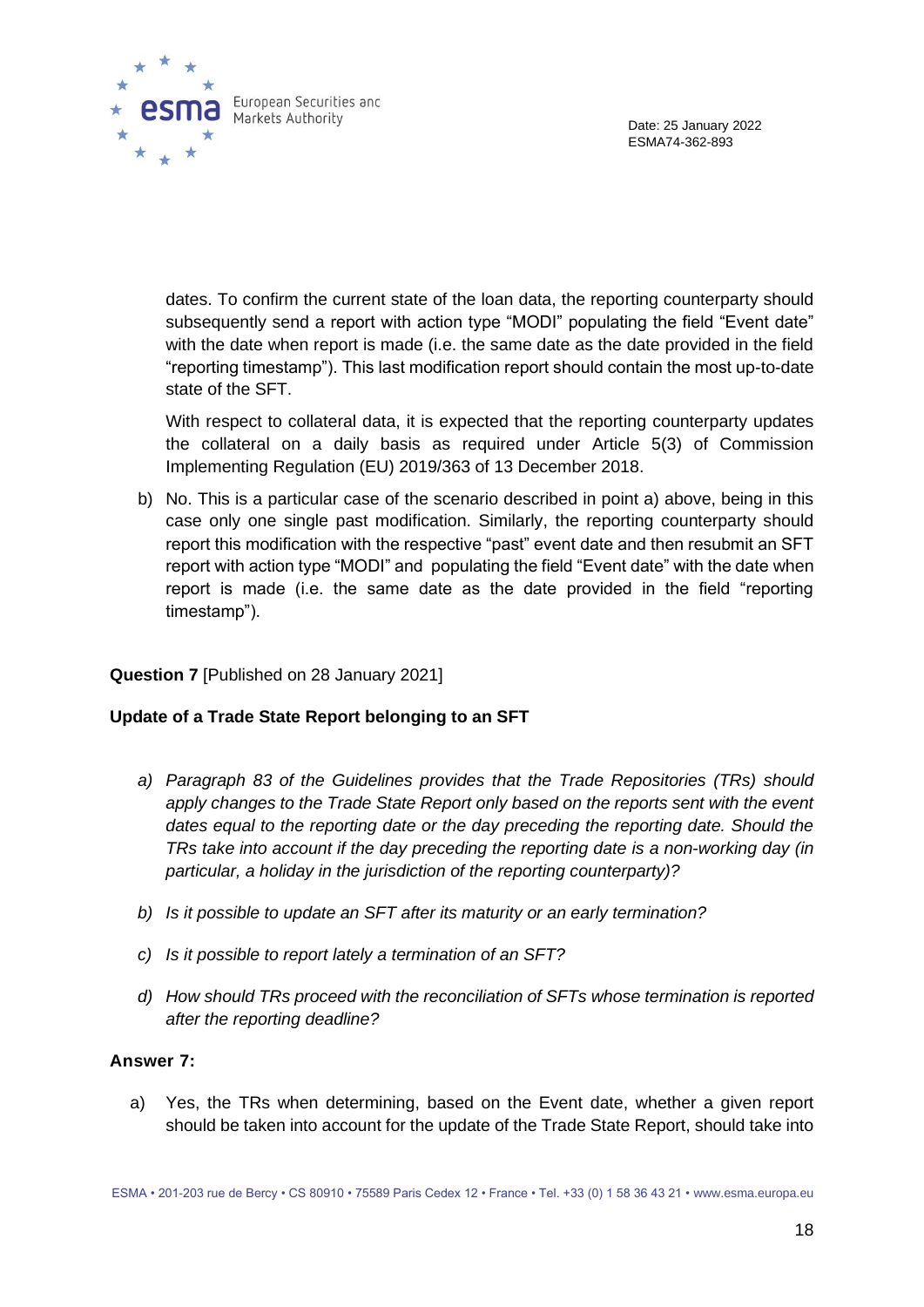



dates. To confirm the current state of the loan data, the reporting counterparty should subsequently send a report with action type "MODI" populating the field "Event date" with the date when report is made (i.e. the same date as the date provided in the field "reporting timestamp"). This last modification report should contain the most up-to-date state of the SFT.

With respect to collateral data, it is expected that the reporting counterparty updates the collateral on a daily basis as required under Article 5(3) of Commission Implementing Regulation (EU) 2019/363 of 13 December 2018.

b) No. This is a particular case of the scenario described in point a) above, being in this case only one single past modification. Similarly, the reporting counterparty should report this modification with the respective "past" event date and then resubmit an SFT report with action type "MODI" and populating the field "Event date" with the date when report is made (i.e. the same date as the date provided in the field "reporting timestamp").

#### **Question 7** [Published on 28 January 2021]

#### **Update of a Trade State Report belonging to an SFT**

- *a) Paragraph 83 of the Guidelines provides that the Trade Repositories (TRs) should*  apply changes to the Trade State Report only based on the reports sent with the event *dates equal to the reporting date or the day preceding the reporting date. Should the TRs take into account if the day preceding the reporting date is a non-working day (in particular, a holiday in the jurisdiction of the reporting counterparty)?*
- *b) Is it possible to update an SFT after its maturity or an early termination?*
- *c) Is it possible to report lately a termination of an SFT?*
- *d) How should TRs proceed with the reconciliation of SFTs whose termination is reported after the reporting deadline?*

#### **Answer 7:**

a) Yes, the TRs when determining, based on the Event date, whether a given report should be taken into account for the update of the Trade State Report, should take into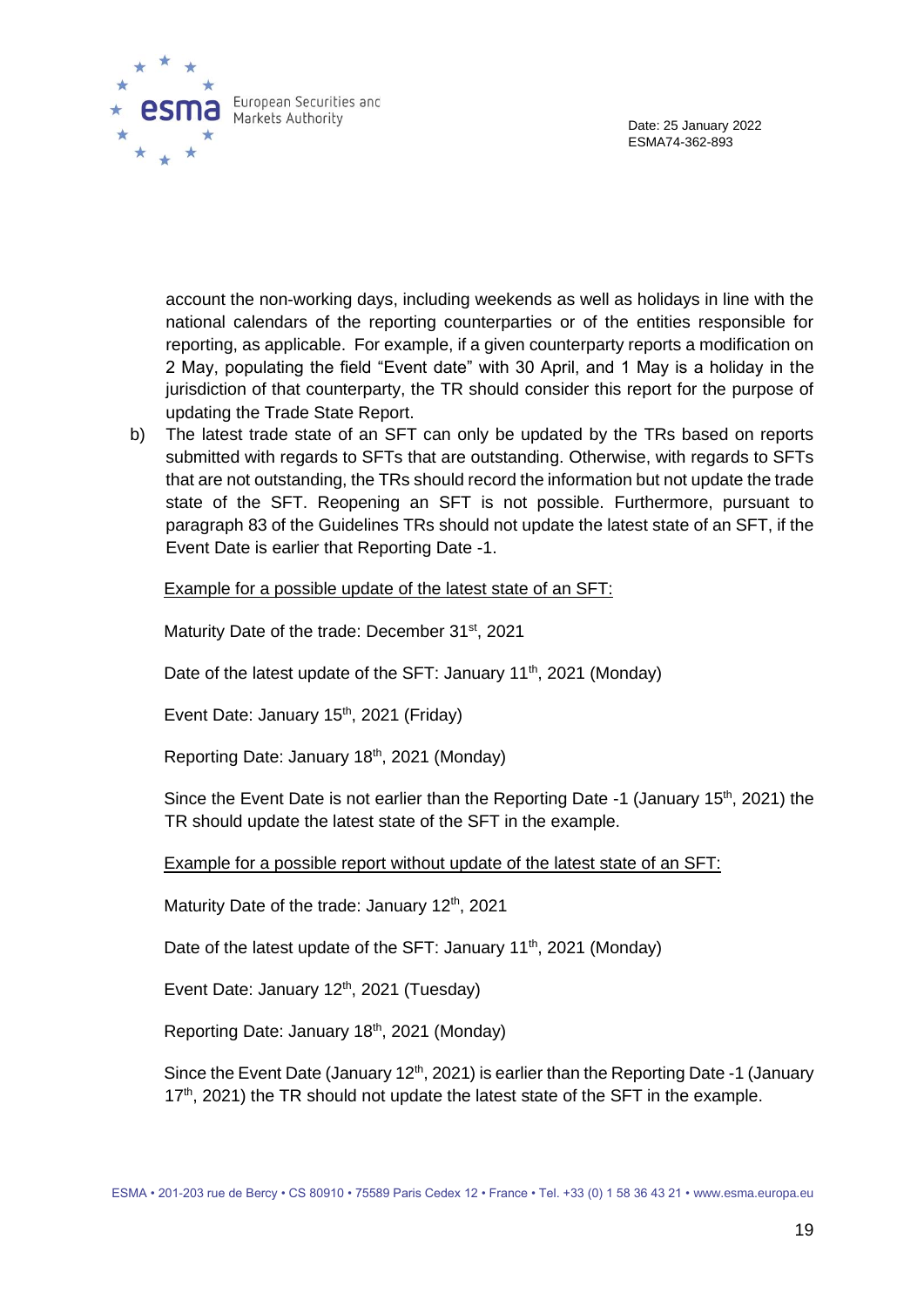

account the non-working days, including weekends as well as holidays in line with the national calendars of the reporting counterparties or of the entities responsible for reporting, as applicable. For example, if a given counterparty reports a modification on 2 May, populating the field "Event date" with 30 April, and 1 May is a holiday in the jurisdiction of that counterparty, the TR should consider this report for the purpose of updating the Trade State Report.

b) The latest trade state of an SFT can only be updated by the TRs based on reports submitted with regards to SFTs that are outstanding. Otherwise, with regards to SFTs that are not outstanding, the TRs should record the information but not update the trade state of the SFT. Reopening an SFT is not possible. Furthermore, pursuant to paragraph 83 of the Guidelines TRs should not update the latest state of an SFT, if the Event Date is earlier that Reporting Date -1.

Example for a possible update of the latest state of an SFT:

Maturity Date of the trade: December 31<sup>st</sup>, 2021

Date of the latest update of the SFT: January 11<sup>th</sup>, 2021 (Monday)

Event Date: January 15<sup>th</sup>, 2021 (Friday)

Reporting Date: January 18<sup>th</sup>, 2021 (Monday)

Since the Event Date is not earlier than the Reporting Date -1 (January 15<sup>th</sup>, 2021) the TR should update the latest state of the SFT in the example.

Example for a possible report without update of the latest state of an SFT:

Maturity Date of the trade: January 12<sup>th</sup>, 2021

Date of the latest update of the SFT: January 11<sup>th</sup>, 2021 (Monday)

Event Date: January 12<sup>th</sup>, 2021 (Tuesday)

Reporting Date: January 18th, 2021 (Monday)

Since the Event Date (January 12<sup>th</sup>, 2021) is earlier than the Reporting Date -1 (January  $17<sup>th</sup>$ , 2021) the TR should not update the latest state of the SFT in the example.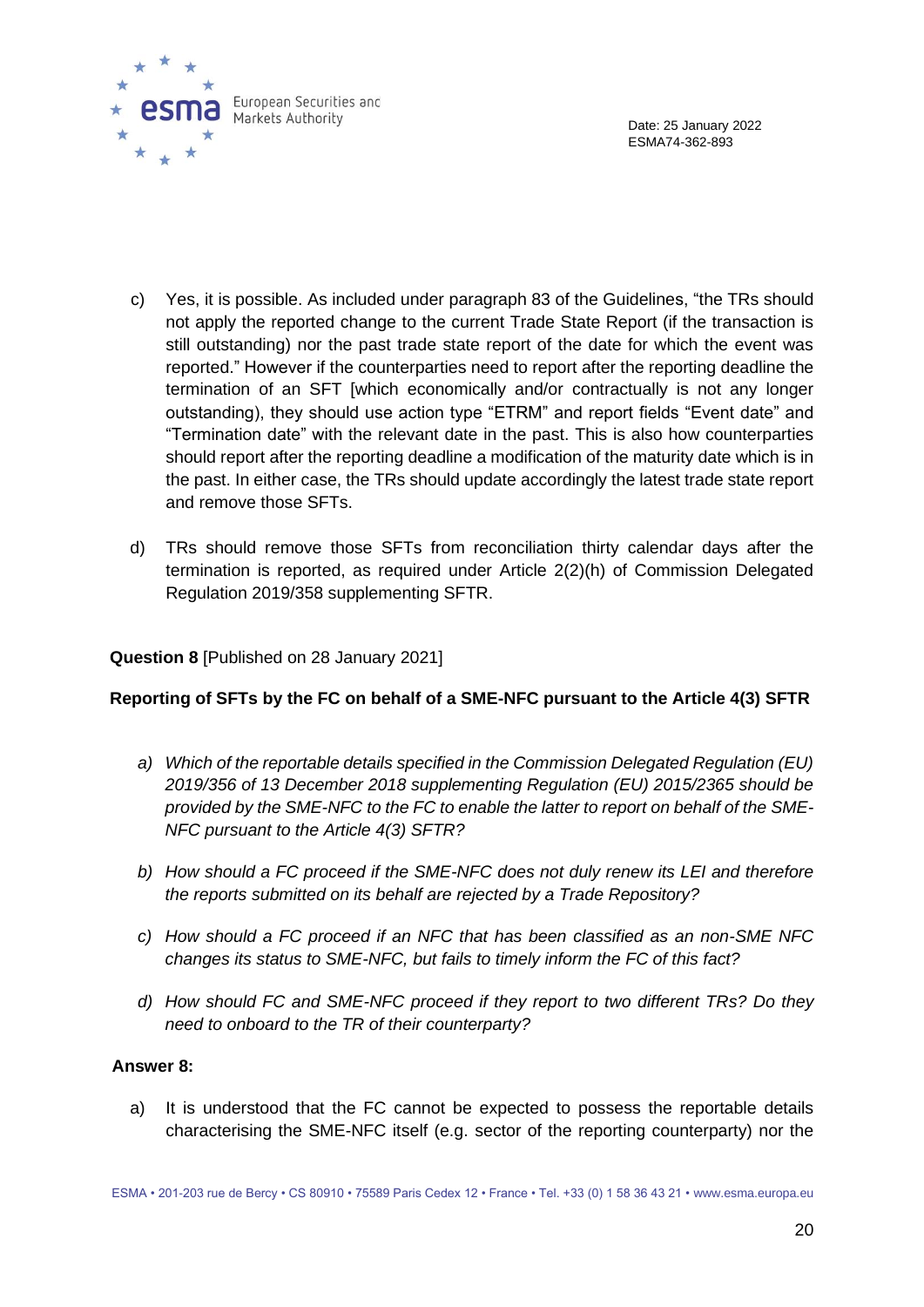

- c) Yes, it is possible. As included under paragraph 83 of the Guidelines, "the TRs should not apply the reported change to the current Trade State Report (if the transaction is still outstanding) nor the past trade state report of the date for which the event was reported." However if the counterparties need to report after the reporting deadline the termination of an SFT [which economically and/or contractually is not any longer outstanding), they should use action type "ETRM" and report fields "Event date" and "Termination date" with the relevant date in the past. This is also how counterparties should report after the reporting deadline a modification of the maturity date which is in the past. In either case, the TRs should update accordingly the latest trade state report and remove those SFTs.
- d) TRs should remove those SFTs from reconciliation thirty calendar days after the termination is reported, as required under Article 2(2)(h) of Commission Delegated Regulation 2019/358 supplementing SFTR.

#### **Question 8** [Published on 28 January 2021]

#### **Reporting of SFTs by the FC on behalf of a SME-NFC pursuant to the Article 4(3) SFTR**

- *a) Which of the reportable details specified in the Commission Delegated Regulation (EU) 2019/356 of 13 December 2018 supplementing Regulation (EU) 2015/2365 should be provided by the SME-NFC to the FC to enable the latter to report on behalf of the SME-NFC pursuant to the Article 4(3) SFTR?*
- *b) How should a FC proceed if the SME-NFC does not duly renew its LEI and therefore the reports submitted on its behalf are rejected by a Trade Repository?*
- *c) How should a FC proceed if an NFC that has been classified as an non-SME NFC changes its status to SME-NFC, but fails to timely inform the FC of this fact?*
- *d) How should FC and SME-NFC proceed if they report to two different TRs? Do they need to onboard to the TR of their counterparty?*

#### **Answer 8:**

a) It is understood that the FC cannot be expected to possess the reportable details characterising the SME-NFC itself (e.g. sector of the reporting counterparty) nor the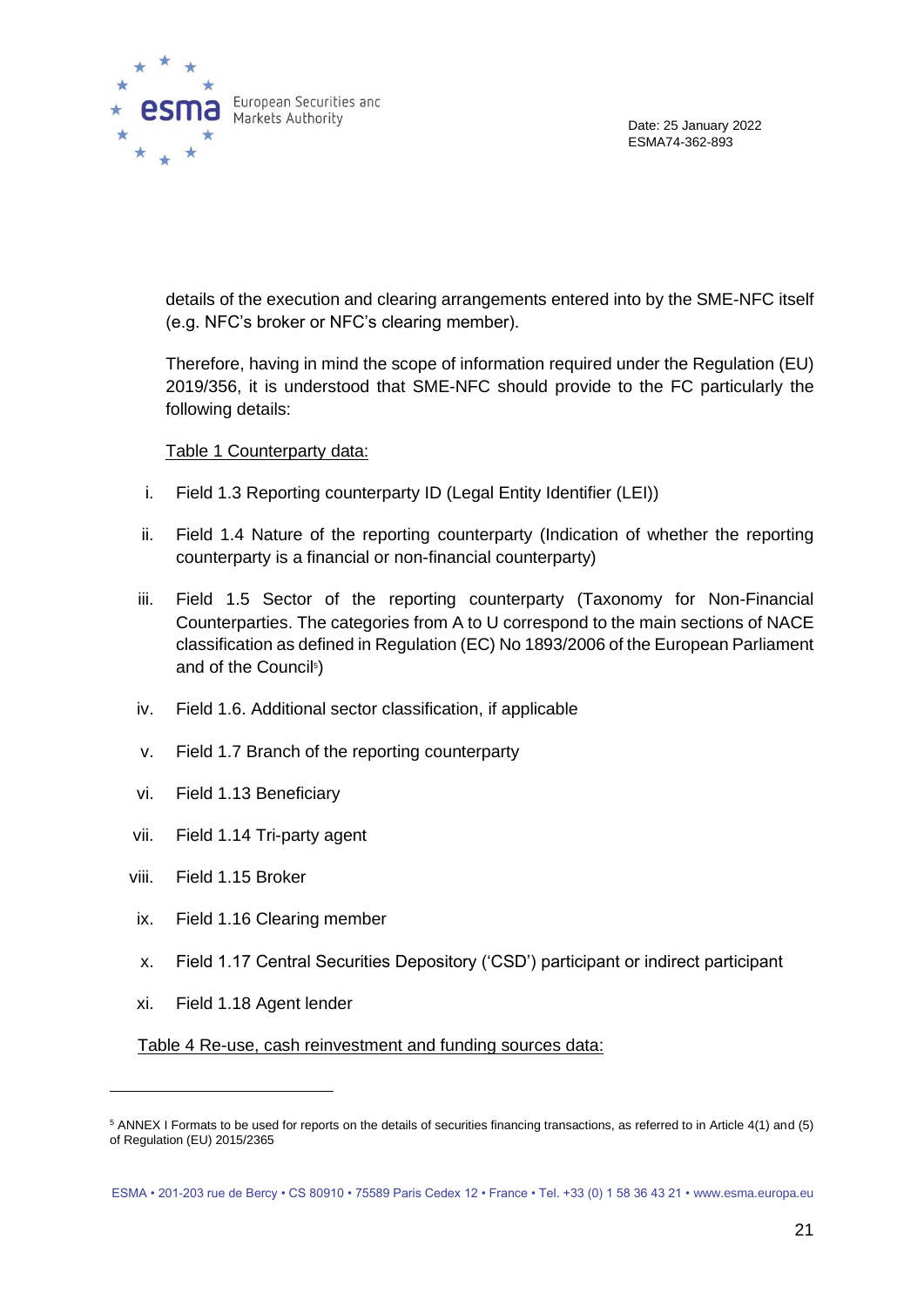

details of the execution and clearing arrangements entered into by the SME-NFC itself (e.g. NFC's broker or NFC's clearing member).

Therefore, having in mind the scope of information required under the Regulation (EU) 2019/356, it is understood that SME-NFC should provide to the FC particularly the following details:

#### Table 1 Counterparty data:

- i. Field 1.3 Reporting counterparty ID (Legal Entity Identifier (LEI))
- ii. Field 1.4 Nature of the reporting counterparty (Indication of whether the reporting counterparty is a financial or non-financial counterparty)
- iii. Field 1.5 Sector of the reporting counterparty (Taxonomy for Non-Financial Counterparties. The categories from A to U correspond to the main sections of NACE classification as defined in Regulation (EC) No 1893/2006 of the European Parliament and of the Council<sup>5</sup>)
- iv. Field 1.6. Additional sector classification, if applicable
- v. Field 1.7 Branch of the reporting counterparty
- vi. Field 1.13 Beneficiary
- vii. Field 1.14 Tri-party agent
- viii. Field 1.15 Broker
- ix. Field 1.16 Clearing member
- x. Field 1.17 Central Securities Depository ('CSD') participant or indirect participant
- xi. Field 1.18 Agent lender

Table 4 Re-use, cash reinvestment and funding sources data:

<sup>5</sup> ANNEX I Formats to be used for reports on the details of securities financing transactions, as referred to in Article 4(1) and (5) of Regulation (EU) 2015/2365

ESMA • 201-203 rue de Bercy • CS 80910 • 75589 Paris Cedex 12 • France • Tel. +33 (0) 1 58 36 43 21 • www.esma.europa.eu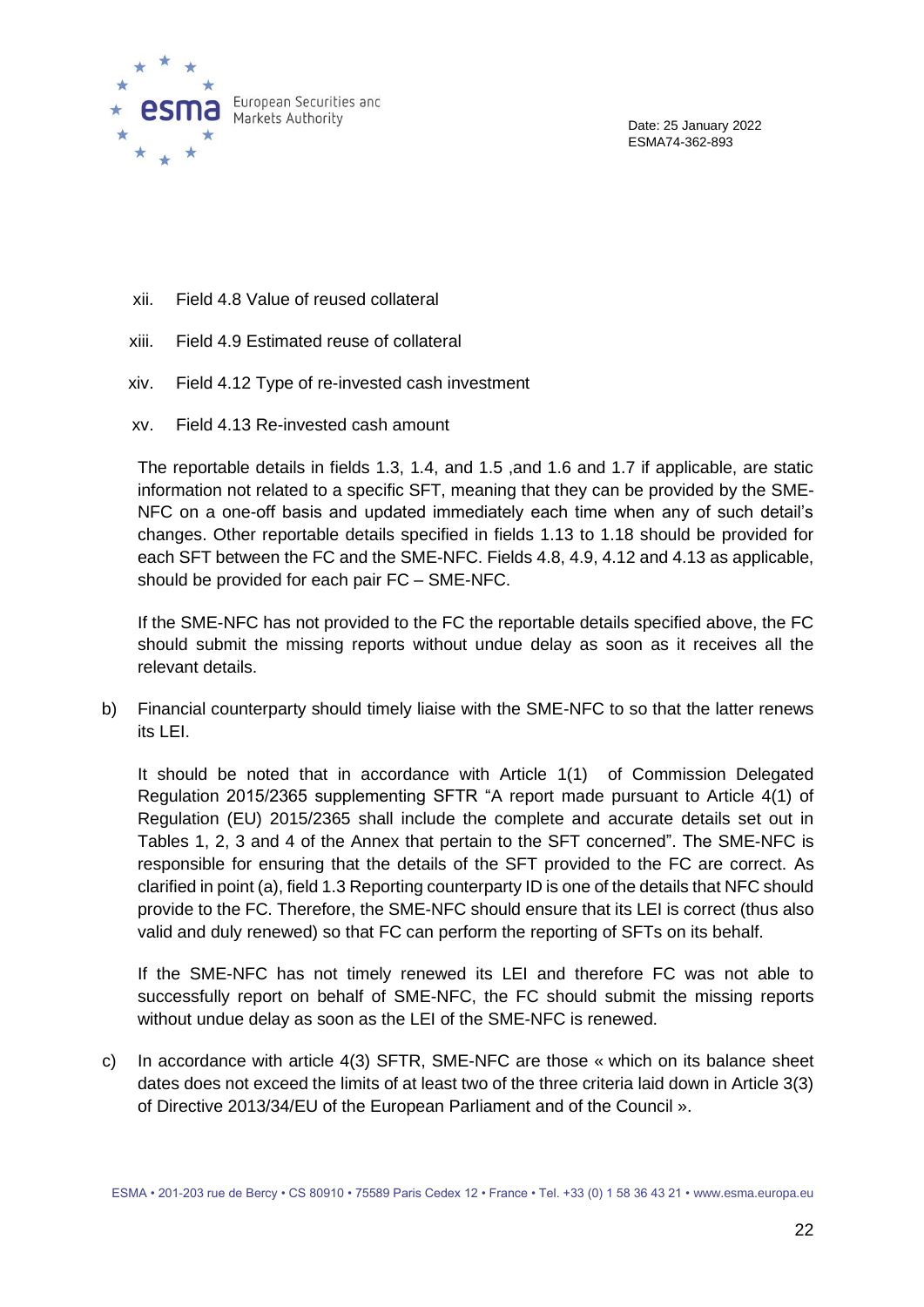

- xii. Field 4.8 Value of reused collateral
- xiii. Field 4.9 Estimated reuse of collateral
- xiv. Field 4.12 Type of re-invested cash investment
- xv. Field 4.13 Re-invested cash amount

The reportable details in fields 1.3, 1.4, and 1.5 ,and 1.6 and 1.7 if applicable, are static information not related to a specific SFT, meaning that they can be provided by the SME-NFC on a one-off basis and updated immediately each time when any of such detail's changes. Other reportable details specified in fields 1.13 to 1.18 should be provided for each SFT between the FC and the SME-NFC. Fields 4.8, 4.9, 4.12 and 4.13 as applicable, should be provided for each pair FC – SME-NFC.

If the SME-NFC has not provided to the FC the reportable details specified above, the FC should submit the missing reports without undue delay as soon as it receives all the relevant details.

b) Financial counterparty should timely liaise with the SME-NFC to so that the latter renews its LEI.

It should be noted that in accordance with Article 1(1) of Commission Delegated Regulation 2015/2365 supplementing SFTR "A report made pursuant to Article 4(1) of Regulation (EU) 2015/2365 shall include the complete and accurate details set out in Tables 1, 2, 3 and 4 of the Annex that pertain to the SFT concerned". The SME-NFC is responsible for ensuring that the details of the SFT provided to the FC are correct. As clarified in point (a), field 1.3 Reporting counterparty ID is one of the details that NFC should provide to the FC. Therefore, the SME-NFC should ensure that its LEI is correct (thus also valid and duly renewed) so that FC can perform the reporting of SFTs on its behalf.

If the SME-NFC has not timely renewed its LEI and therefore FC was not able to successfully report on behalf of SME-NFC, the FC should submit the missing reports without undue delay as soon as the LEI of the SME-NFC is renewed.

c) In accordance with article 4(3) SFTR, SME-NFC are those « which on its balance sheet dates does not exceed the limits of at least two of the three criteria laid down in Article 3(3) of Directive 2013/34/EU of the European Parliament and of the Council ».

ESMA • 201-203 rue de Bercy • CS 80910 • 75589 Paris Cedex 12 • France • Tel. +33 (0) 1 58 36 43 21 • www.esma.europa.eu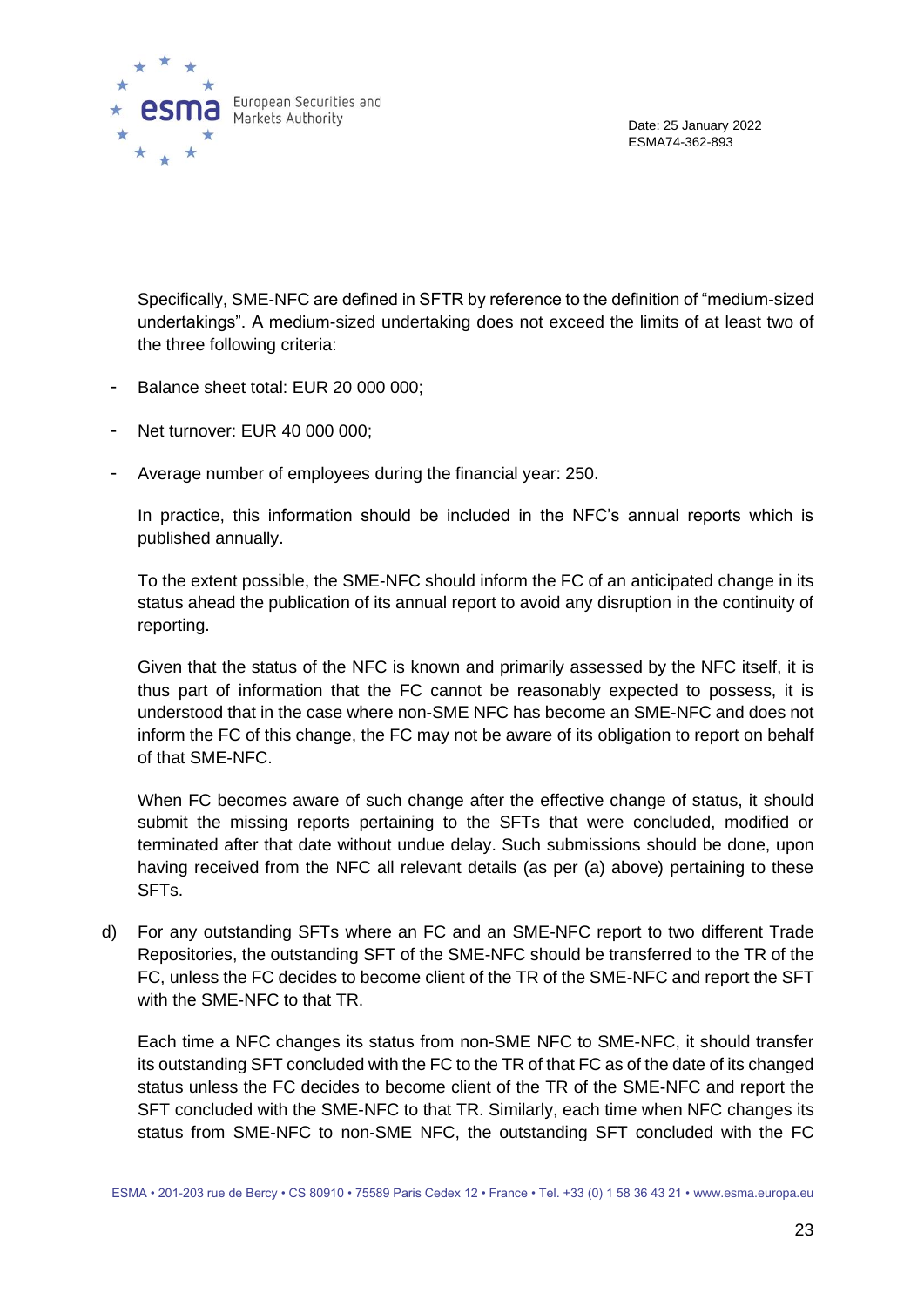

Specifically, SME-NFC are defined in SFTR by reference to the definition of "medium-sized undertakings". A medium-sized undertaking does not exceed the limits of at least two of the three following criteria:

- Balance sheet total: EUR 20 000 000;
- Net turnover: EUR 40 000 000:
- Average number of employees during the financial year: 250.

In practice, this information should be included in the NFC's annual reports which is published annually.

To the extent possible, the SME-NFC should inform the FC of an anticipated change in its status ahead the publication of its annual report to avoid any disruption in the continuity of reporting.

Given that the status of the NFC is known and primarily assessed by the NFC itself, it is thus part of information that the FC cannot be reasonably expected to possess, it is understood that in the case where non-SME NFC has become an SME-NFC and does not inform the FC of this change, the FC may not be aware of its obligation to report on behalf of that SME-NFC.

When FC becomes aware of such change after the effective change of status, it should submit the missing reports pertaining to the SFTs that were concluded, modified or terminated after that date without undue delay. Such submissions should be done, upon having received from the NFC all relevant details (as per (a) above) pertaining to these SFTs.

d) For any outstanding SFTs where an FC and an SME-NFC report to two different Trade Repositories, the outstanding SFT of the SME-NFC should be transferred to the TR of the FC, unless the FC decides to become client of the TR of the SME-NFC and report the SFT with the SMF-NFC to that TR

Each time a NFC changes its status from non-SME NFC to SME-NFC, it should transfer its outstanding SFT concluded with the FC to the TR of that FC as of the date of its changed status unless the FC decides to become client of the TR of the SME-NFC and report the SFT concluded with the SME-NFC to that TR. Similarly, each time when NFC changes its status from SME-NFC to non-SME NFC, the outstanding SFT concluded with the FC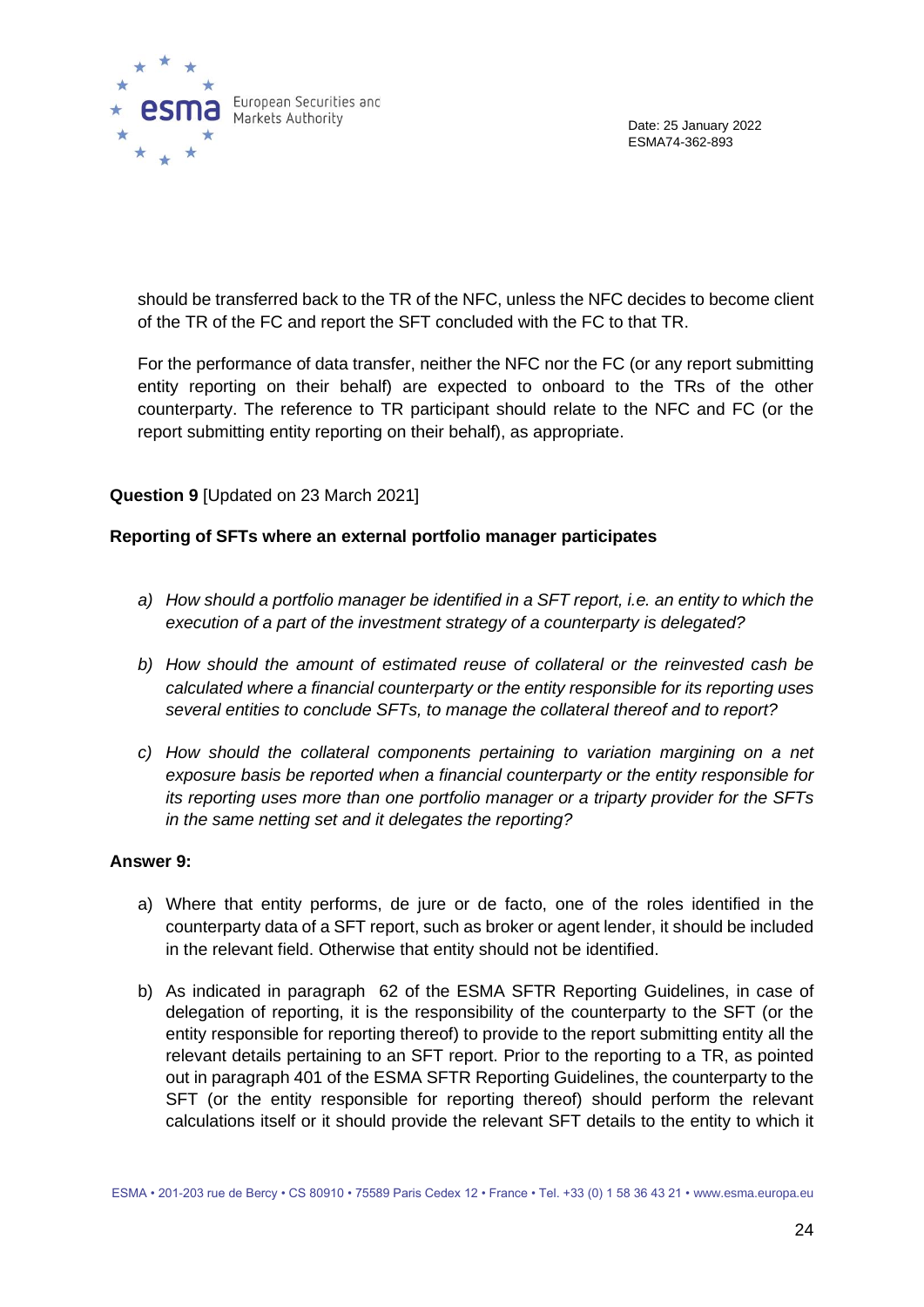

should be transferred back to the TR of the NFC, unless the NFC decides to become client of the TR of the FC and report the SFT concluded with the FC to that TR.

For the performance of data transfer, neither the NFC nor the FC (or any report submitting entity reporting on their behalf) are expected to onboard to the TRs of the other counterparty. The reference to TR participant should relate to the NFC and FC (or the report submitting entity reporting on their behalf), as appropriate.

#### **Question 9** [Updated on 23 March 2021]

#### **Reporting of SFTs where an external portfolio manager participates**

- *a) How should a portfolio manager be identified in a SFT report, i.e. an entity to which the execution of a part of the investment strategy of a counterparty is delegated?*
- *b) How should the amount of estimated reuse of collateral or the reinvested cash be calculated where a financial counterparty or the entity responsible for its reporting uses several entities to conclude SFTs, to manage the collateral thereof and to report?*
- *c) How should the collateral components pertaining to variation margining on a net exposure basis be reported when a financial counterparty or the entity responsible for its reporting uses more than one portfolio manager or a triparty provider for the SFTs in the same netting set and it delegates the reporting?*

#### **Answer 9:**

- a) Where that entity performs, de jure or de facto, one of the roles identified in the counterparty data of a SFT report, such as broker or agent lender, it should be included in the relevant field. Otherwise that entity should not be identified.
- b) As indicated in paragraph 62 of the ESMA SFTR Reporting Guidelines, in case of delegation of reporting, it is the responsibility of the counterparty to the SFT (or the entity responsible for reporting thereof) to provide to the report submitting entity all the relevant details pertaining to an SFT report. Prior to the reporting to a TR, as pointed out in paragraph 401 of the ESMA SFTR Reporting Guidelines, the counterparty to the SFT (or the entity responsible for reporting thereof) should perform the relevant calculations itself or it should provide the relevant SFT details to the entity to which it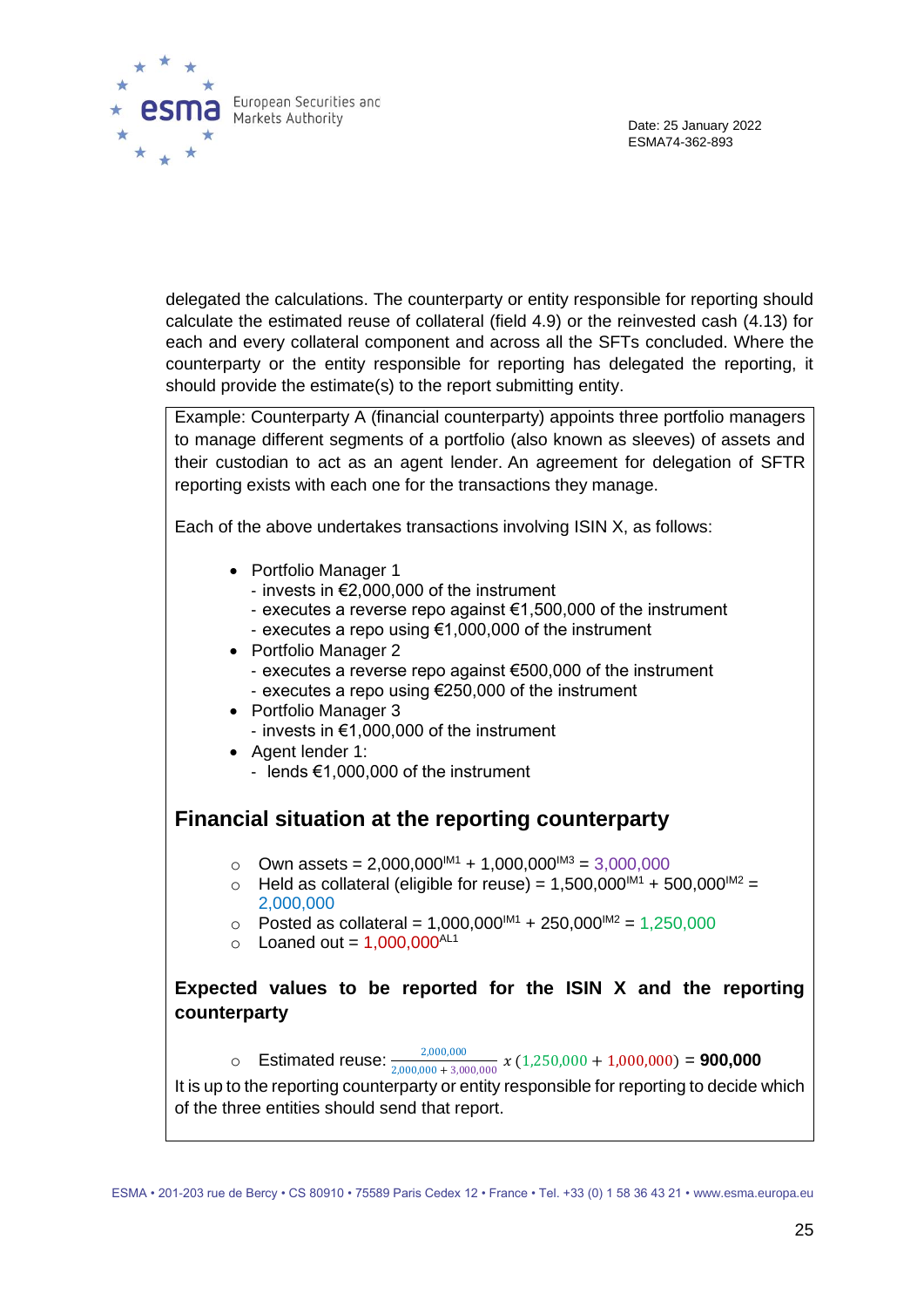

delegated the calculations. The counterparty or entity responsible for reporting should calculate the estimated reuse of collateral (field 4.9) or the reinvested cash (4.13) for each and every collateral component and across all the SFTs concluded. Where the counterparty or the entity responsible for reporting has delegated the reporting, it should provide the estimate(s) to the report submitting entity.

Example: Counterparty A (financial counterparty) appoints three portfolio managers to manage different segments of a portfolio (also known as sleeves) of assets and their custodian to act as an agent lender. An agreement for delegation of SFTR reporting exists with each one for the transactions they manage.

Each of the above undertakes transactions involving ISIN X, as follows:

- Portfolio Manager 1
	- invests in €2,000,000 of the instrument
	- executes a reverse repo against €1,500,000 of the instrument
	- executes a repo using €1,000,000 of the instrument
- Portfolio Manager 2
	- executes a reverse repo against €500,000 of the instrument
	- executes a repo using €250,000 of the instrument
- Portfolio Manager 3
	- invests in €1,000,000 of the instrument
- Agent lender 1:
	- lends €1,000,000 of the instrument

### **Financial situation at the reporting counterparty**

- o Own assets =  $2,000,000^{1M1} + 1,000,000^{1M3} = 3,000,000$
- $\circ$  Held as collateral (eligible for reuse) = 1,500,000<sup>IM1</sup> + 500,000<sup>IM2</sup> = 2,000,000
- $\circ$  Posted as collateral = 1,000,000<sup>M1</sup> + 250,000<sup>M2</sup> = 1,250,000
- $\circ$  Loaned out = 1,000,000<sup>AL1</sup>

#### **Expected values to be reported for the ISIN X and the reporting counterparty**

o Estimated reuse:  $\frac{2,000,000}{2,000,000+3,000,000}$  x (1,250,000 + 1,000,000) = **900,000** 

It is up to the reporting counterparty or entity responsible for reporting to decide which of the three entities should send that report.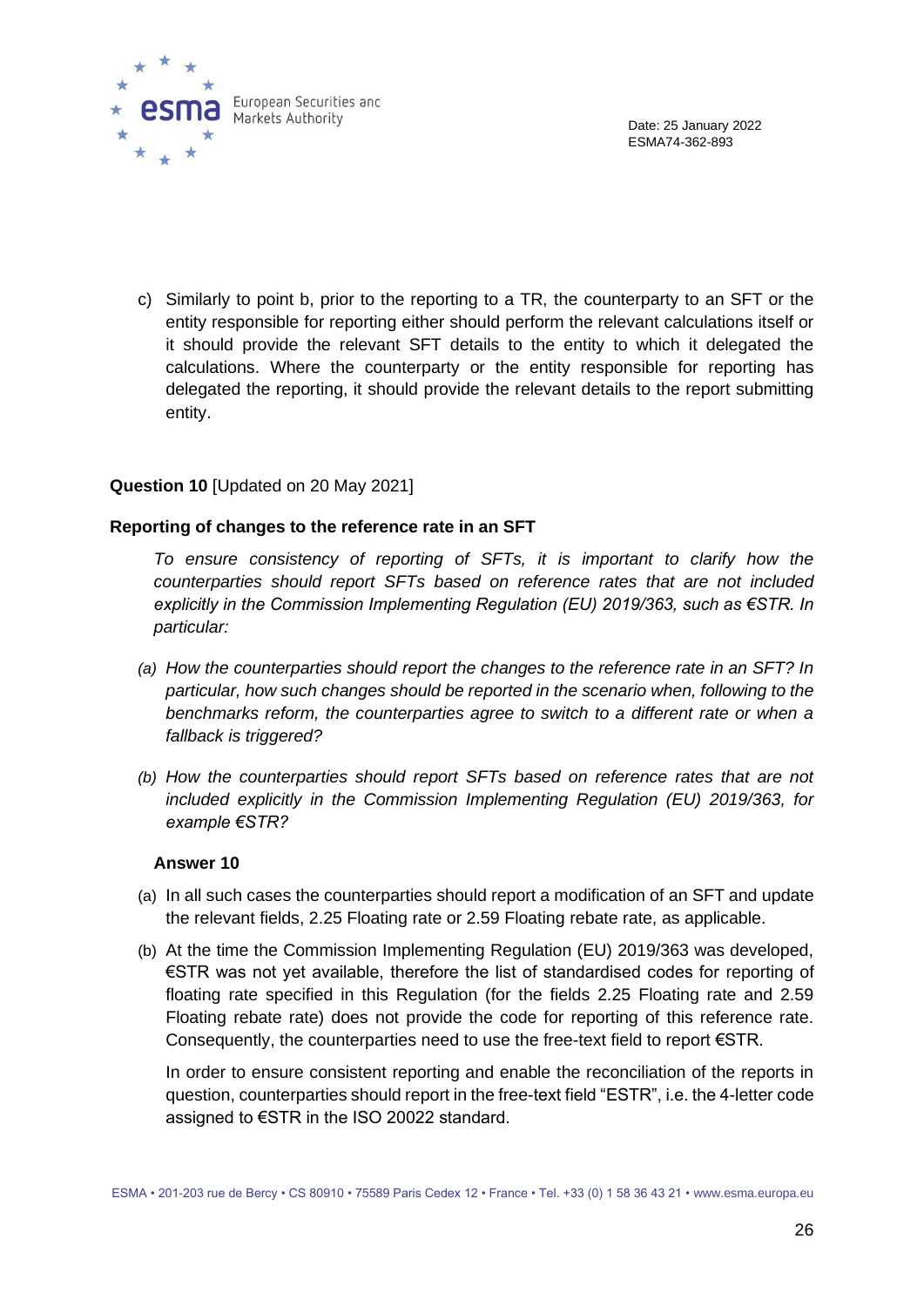

c) Similarly to point b, prior to the reporting to a TR, the counterparty to an SFT or the entity responsible for reporting either should perform the relevant calculations itself or it should provide the relevant SFT details to the entity to which it delegated the calculations. Where the counterparty or the entity responsible for reporting has delegated the reporting, it should provide the relevant details to the report submitting entity.

#### **Question 10** [Updated on 20 May 2021]

#### **Reporting of changes to the reference rate in an SFT**

*To ensure consistency of reporting of SFTs, it is important to clarify how the counterparties should report SFTs based on reference rates that are not included explicitly in the Commission Implementing Regulation (EU) 2019/363, such as €STR. In particular:*

- *(a) How the counterparties should report the changes to the reference rate in an SFT? In particular, how such changes should be reported in the scenario when, following to the*  benchmarks reform, the counterparties agree to switch to a different rate or when a *fallback is triggered?*
- *(b) How the counterparties should report SFTs based on reference rates that are not included explicitly in the Commission Implementing Regulation (EU) 2019/363, for example €STR?*

#### **Answer 10**

- (a) In all such cases the counterparties should report a modification of an SFT and update the relevant fields, 2.25 Floating rate or 2.59 Floating rebate rate, as applicable.
- (b) At the time the Commission Implementing Regulation (EU) 2019/363 was developed, €STR was not yet available, therefore the list of standardised codes for reporting of floating rate specified in this Regulation (for the fields 2.25 Floating rate and 2.59 Floating rebate rate) does not provide the code for reporting of this reference rate. Consequently, the counterparties need to use the free-text field to report €STR.

In order to ensure consistent reporting and enable the reconciliation of the reports in question, counterparties should report in the free-text field "ESTR", i.e. the 4-letter code assigned to €STR in the ISO 20022 standard.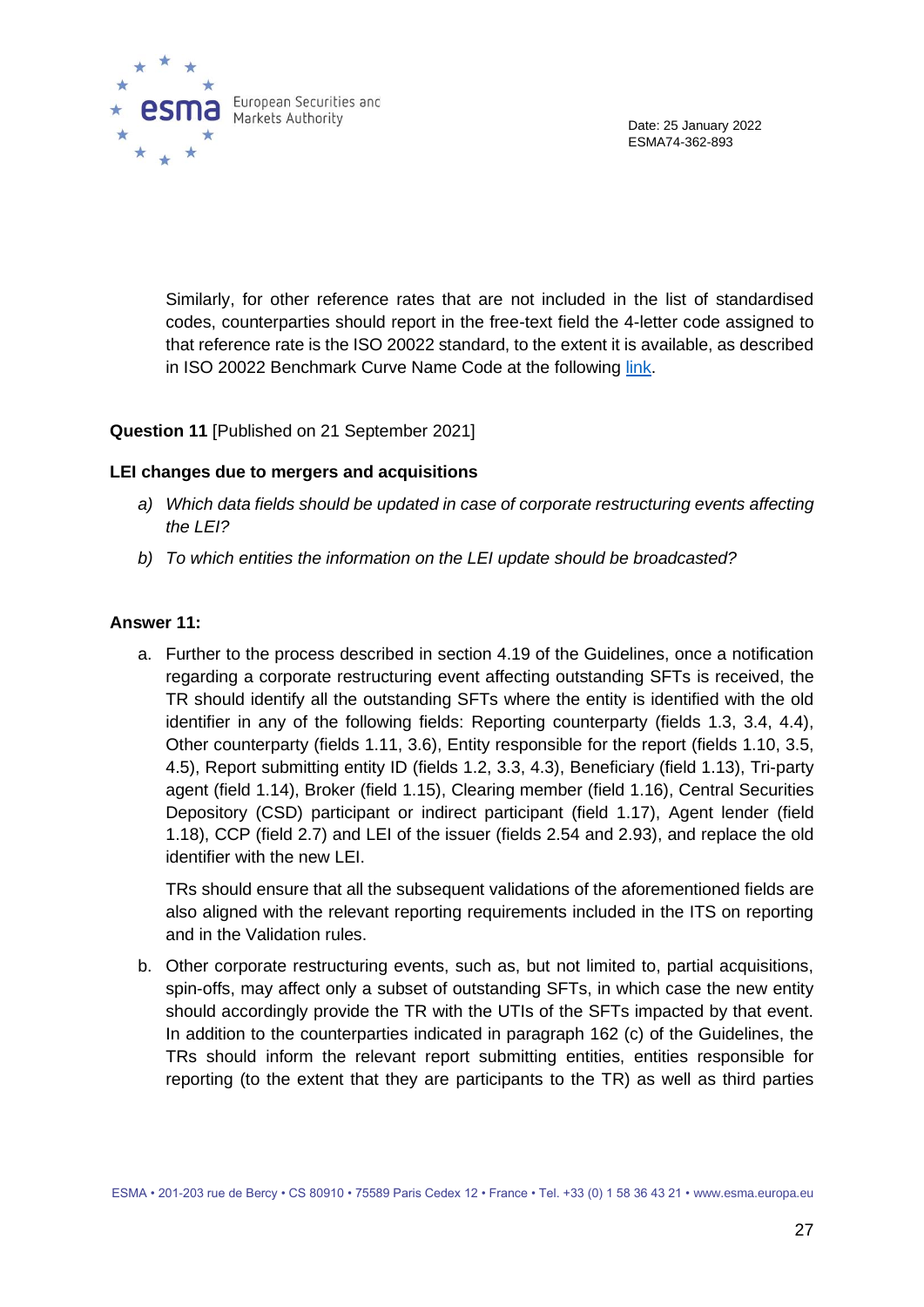

Similarly, for other reference rates that are not included in the list of standardised codes, counterparties should report in the free-text field the 4-letter code assigned to that reference rate is the ISO 20022 standard, to the extent it is available, as described in ISO 20022 Benchmark Curve Name Code at the following [link.](https://www.iso20022.org/standardsrepository/)

#### **Question 11** [Published on 21 September 2021]

#### **LEI changes due to mergers and acquisitions**

- *a) Which data fields should be updated in case of corporate restructuring events affecting the LEI?*
- *b) To which entities the information on the LEI update should be broadcasted?*

#### **Answer 11:**

a. Further to the process described in section 4.19 of the Guidelines, once a notification regarding a corporate restructuring event affecting outstanding SFTs is received, the TR should identify all the outstanding SFTs where the entity is identified with the old identifier in any of the following fields: Reporting counterparty (fields 1.3, 3.4, 4.4), Other counterparty (fields 1.11, 3.6), Entity responsible for the report (fields 1.10, 3.5, 4.5), Report submitting entity ID (fields 1.2, 3.3, 4.3), Beneficiary (field 1.13), Tri-party agent (field 1.14), Broker (field 1.15), Clearing member (field 1.16), Central Securities Depository (CSD) participant or indirect participant (field 1.17), Agent lender (field 1.18), CCP (field 2.7) and LEI of the issuer (fields 2.54 and 2.93), and replace the old identifier with the new LEI.

TRs should ensure that all the subsequent validations of the aforementioned fields are also aligned with the relevant reporting requirements included in the ITS on reporting and in the Validation rules.

b. Other corporate restructuring events, such as, but not limited to, partial acquisitions, spin-offs, may affect only a subset of outstanding SFTs, in which case the new entity should accordingly provide the TR with the UTIs of the SFTs impacted by that event. In addition to the counterparties indicated in paragraph 162 (c) of the Guidelines, the TRs should inform the relevant report submitting entities, entities responsible for reporting (to the extent that they are participants to the TR) as well as third parties